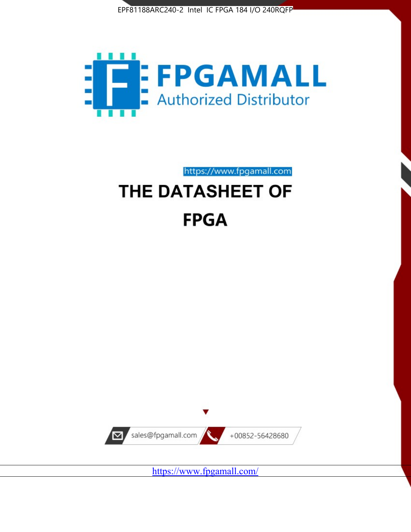



https://www.fpgamall.com THE DATASHEET OF

# **FPGA**



<https://www.fpgamall.com/>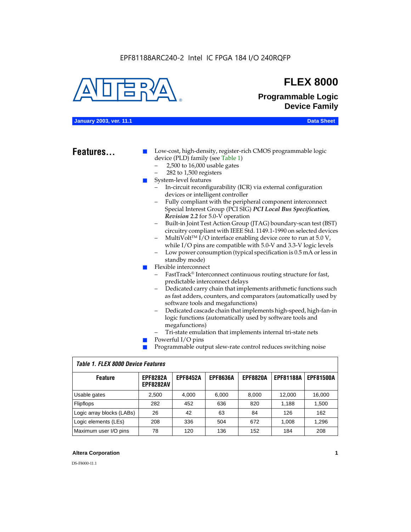

## **FLEX 8000**

**Programmable Logic Device Family**

#### **January 2003, ver. 11.1 Data Sheet**

### Features...

Low-cost, high-density, register-rich CMOS programmable logic device (PLD) family (see Table 1)

- 2,500 to 16,000 usable gates
- 282 to 1,500 registers
- System-level features
	- In-circuit reconfigurability (ICR) via external configuration devices or intelligent controller
	- Fully compliant with the peripheral component interconnect Special Interest Group (PCI SIG) *PCI Local Bus Specification, Revision 2.2* for 5.0-V operation
	- Built-in Joint Test Action Group (JTAG) boundary-scan test (BST) circuitry compliant with IEEE Std. 1149.1-1990 on selected devices
	- MultiVolt<sup>™</sup> I/O interface enabling device core to run at  $5.0 V$ , while I/O pins are compatible with 5.0-V and 3.3-V logic levels
	- Low power consumption (typical specification is 0.5 mA or less in standby mode)
- Flexible interconnect
	- FastTrack<sup>®</sup> Interconnect continuous routing structure for fast, predictable interconnect delays
	- Dedicated carry chain that implements arithmetic functions such as fast adders, counters, and comparators (automatically used by software tools and megafunctions)
	- Dedicated cascade chain that implements high-speed, high-fan-in logic functions (automatically used by software tools and megafunctions)
	- Tri-state emulation that implements internal tri-state nets
- Powerful I/O pins
- Programmable output slew-rate control reduces switching noise

| <b>Feature</b>            | <b>EPF8282A</b><br><b>EPF8282AV</b> | <b>EPF8452A</b> | <b>EPF8636A</b> | <b>EPF8820A</b> | <b>EPF81188A</b> | <b>EPF81500A</b> |  |  |  |  |  |
|---------------------------|-------------------------------------|-----------------|-----------------|-----------------|------------------|------------------|--|--|--|--|--|
| Usable gates              | 2,500                               | 4.000           | 6,000           | 8,000           | 12.000           | 16,000           |  |  |  |  |  |
| Flipflops                 | 282                                 | 452             | 636             | 820             | 1.188            | 1,500            |  |  |  |  |  |
| Logic array blocks (LABs) | 26                                  | 42              | 63              | 84              | 126              | 162              |  |  |  |  |  |
| Logic elements (LEs)      | 208                                 | 336             | 504             | 672             | 1.008            | 1,296            |  |  |  |  |  |
| Maximum user I/O pins     | 78                                  | 120             | 136             | 152             | 184              | 208              |  |  |  |  |  |

#### *Table 1. FLEX 8000 Device Features*

#### **Altera Corporation 1**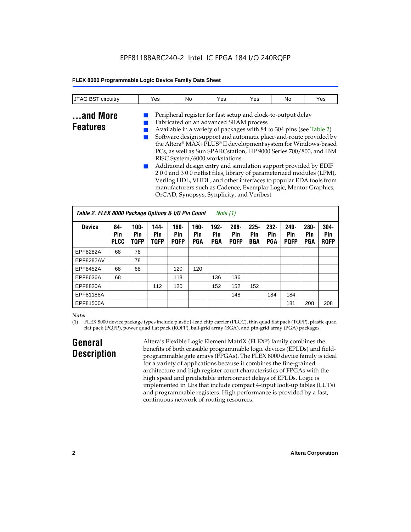| <b>JTAG BST</b><br>circuitry | Yes | No | Yes | $V_{\mathsf{es}}$ | No | Yes |
|------------------------------|-----|----|-----|-------------------|----|-----|
|                              |     |    |     |                   |    |     |

### **...and More Features**

Fabricated on an advanced SRAM process ■ Available in a variety of packages with 84 to 304 pins (see Table 2) Software design support and automatic place-and-route provided by the Altera® MAX+PLUS® II development system for Windows-based PCs, as well as Sun SPARCstation, HP 9000 Series 700/800, and IBM RISC System/6000 workstations Additional design entry and simulation support provided by EDIF

Peripheral register for fast setup and clock-to-output delay

2 0 0 and 3 0 0 netlist files, library of parameterized modules (LPM), Verilog HDL, VHDL, and other interfaces to popular EDA tools from manufacturers such as Cadence, Exemplar Logic, Mentor Graphics, OrCAD, Synopsys, Synplicity, and Veribest

| Table 2. FLEX 8000 Package Options & I/O Pin Count<br>Note $(1)$ |                           |                               |                            |                            |                              |                              |                               |                              |                              |                               |                              |                               |
|------------------------------------------------------------------|---------------------------|-------------------------------|----------------------------|----------------------------|------------------------------|------------------------------|-------------------------------|------------------------------|------------------------------|-------------------------------|------------------------------|-------------------------------|
| <b>Device</b>                                                    | 84-<br>Pin<br><b>PLCC</b> | $100 -$<br>Pin<br><b>TOFP</b> | 144-<br>Pin<br><b>TQFP</b> | 160-<br>Pin<br><b>POFP</b> | $160 -$<br>Pin<br><b>PGA</b> | $192 -$<br>Pin<br><b>PGA</b> | $208 -$<br>Pin<br><b>PQFP</b> | $225 -$<br>Pin<br><b>BGA</b> | $232 -$<br>Pin<br><b>PGA</b> | $240 -$<br>Pin<br><b>PQFP</b> | $280 -$<br>Pin<br><b>PGA</b> | $304 -$<br>Pin<br><b>ROFP</b> |
| EPF8282A                                                         | 68                        | 78                            |                            |                            |                              |                              |                               |                              |                              |                               |                              |                               |
| EPF8282AV                                                        |                           | 78                            |                            |                            |                              |                              |                               |                              |                              |                               |                              |                               |
| EPF8452A                                                         | 68                        | 68                            |                            | 120                        | 120                          |                              |                               |                              |                              |                               |                              |                               |
| EPF8636A                                                         | 68                        |                               |                            | 118                        |                              | 136                          | 136                           |                              |                              |                               |                              |                               |
| EPF8820A                                                         |                           |                               | 112                        | 120                        |                              | 152                          | 152                           | 152                          |                              |                               |                              |                               |
| EPF81188A                                                        |                           |                               |                            |                            |                              |                              | 148                           |                              | 184                          | 184                           |                              |                               |
| EPF81500A                                                        |                           |                               |                            |                            |                              |                              |                               |                              |                              | 181                           | 208                          | 208                           |

#### *Note:*

(1) FLEX 8000 device package types include plastic J-lead chip carrier (PLCC), thin quad flat pack (TQFP), plastic quad flat pack (PQFP), power quad flat pack (RQFP), ball-grid array (BGA), and pin-grid array (PGA) packages.

### **General Description**

Altera's Flexible Logic Element MatriX (FLEX®) family combines the benefits of both erasable programmable logic devices (EPLDs) and fieldprogrammable gate arrays (FPGAs). The FLEX 8000 device family is ideal for a variety of applications because it combines the fine-grained architecture and high register count characteristics of FPGAs with the high speed and predictable interconnect delays of EPLDs. Logic is implemented in LEs that include compact 4-input look-up tables (LUTs) and programmable registers. High performance is provided by a fast, continuous network of routing resources.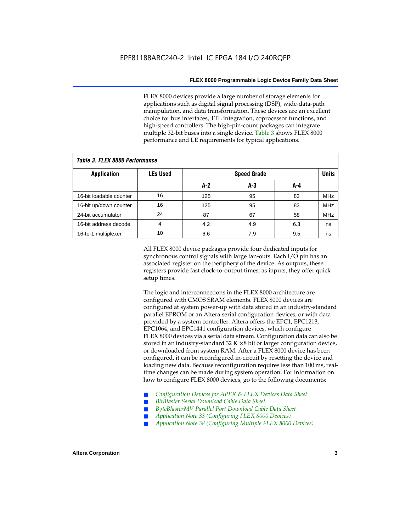FLEX 8000 devices provide a large number of storage elements for applications such as digital signal processing (DSP), wide-data-path manipulation, and data transformation. These devices are an excellent choice for bus interfaces, TTL integration, coprocessor functions, and high-speed controllers. The high-pin-count packages can integrate multiple 32-bit buses into a single device. Table 3 shows FLEX 8000 performance and LE requirements for typical applications.

| Tadie J. Flea Quuu Feituitiiaiige |                 |       |                    |     |            |  |  |  |  |  |  |
|-----------------------------------|-----------------|-------|--------------------|-----|------------|--|--|--|--|--|--|
| <b>Application</b>                | <b>LEs Used</b> |       | <b>Speed Grade</b> |     |            |  |  |  |  |  |  |
|                                   |                 | $A-2$ | A-3                | A-4 |            |  |  |  |  |  |  |
| 16-bit loadable counter           | 16              | 125   | 95                 | 83  | <b>MHz</b> |  |  |  |  |  |  |
| 16-bit up/down counter            | 16              | 125   | 95                 | 83  | <b>MHz</b> |  |  |  |  |  |  |
| 24-bit accumulator                | 24              | 87    | 67                 | 58  | <b>MHz</b> |  |  |  |  |  |  |
| 16-bit address decode             | 4               | 4.2   | 4.9                | 6.3 | ns         |  |  |  |  |  |  |
| 16-to-1 multiplexer               | 10              | 6.6   | 7.9                | 9.5 | ns         |  |  |  |  |  |  |

### *Table 3. FLEX 8000 Performance*

All FLEX 8000 device packages provide four dedicated inputs for synchronous control signals with large fan-outs. Each I/O pin has an associated register on the periphery of the device. As outputs, these registers provide fast clock-to-output times; as inputs, they offer quick setup times.

The logic and interconnections in the FLEX 8000 architecture are configured with CMOS SRAM elements. FLEX 8000 devices are configured at system power-up with data stored in an industry-standard parallel EPROM or an Altera serial configuration devices, or with data provided by a system controller. Altera offers the EPC1, EPC1213, EPC1064, and EPC1441 configuration devices, which configure FLEX 8000 devices via a serial data stream. Configuration data can also be stored in an industry-standard  $32 K \times 8$  bit or larger configuration device, or downloaded from system RAM. After a FLEX 8000 device has been configured, it can be reconfigured in-circuit by resetting the device and loading new data. Because reconfiguration requires less than 100 ms, realtime changes can be made during system operation. For information on how to configure FLEX 8000 devices, go to the following documents:

- Configuration Devices for APEX & FLEX Devices Data Sheet
- $BitBlaster$  Serial Download Cable Data Sheet
- ByteBlasterMV Parallel Port Download Cable Data Sheet
- *Application Note 33 (Configuring FLEX 8000 Devices)*
- *Application Note 38 (Configuring Multiple FLEX 8000 Devices)*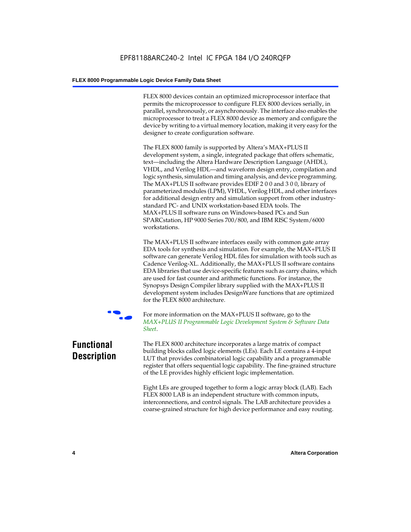FLEX 8000 devices contain an optimized microprocessor interface that permits the microprocessor to configure FLEX 8000 devices serially, in parallel, synchronously, or asynchronously. The interface also enables the microprocessor to treat a FLEX 8000 device as memory and configure the device by writing to a virtual memory location, making it very easy for the designer to create configuration software.

The FLEX 8000 family is supported by Altera's MAX+PLUS II development system, a single, integrated package that offers schematic, text—including the Altera Hardware Description Language (AHDL), VHDL, and Verilog HDL—and waveform design entry, compilation and logic synthesis, simulation and timing analysis, and device programming. The MAX+PLUS II software provides EDIF 2 0 0 and 3 0 0, library of parameterized modules (LPM), VHDL, Verilog HDL, and other interfaces for additional design entry and simulation support from other industrystandard PC- and UNIX workstation-based EDA tools. The MAX+PLUS II software runs on Windows-based PCs and Sun SPARCstation, HP 9000 Series 700/800, and IBM RISC System/6000 workstations.

The MAX+PLUS II software interfaces easily with common gate array EDA tools for synthesis and simulation. For example, the MAX+PLUS II software can generate Verilog HDL files for simulation with tools such as Cadence Verilog-XL. Additionally, the MAX+PLUS II software contains EDA libraries that use device-specific features such as carry chains, which are used for fast counter and arithmetic functions. For instance, the Synopsys Design Compiler library supplied with the MAX+PLUS II development system includes DesignWare functions that are optimized for the FLEX 8000 architecture.



For more information on the MAX+PLUS II software, go to the *MAX+PLUS II Programmable Logic Development System & Software Data Sheet*.

### **Functional Description**

The FLEX 8000 architecture incorporates a large matrix of compact building blocks called logic elements (LEs). Each LE contains a 4-input LUT that provides combinatorial logic capability and a programmable register that offers sequential logic capability. The fine-grained structure of the LE provides highly efficient logic implementation.

Eight LEs are grouped together to form a logic array block (LAB). Each FLEX 8000 LAB is an independent structure with common inputs, interconnections, and control signals. The LAB architecture provides a coarse-grained structure for high device performance and easy routing.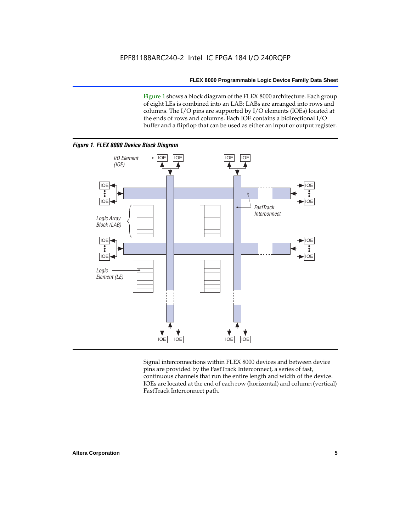Figure 1 shows a block diagram of the FLEX 8000 architecture. Each group of eight LEs is combined into an LAB; LABs are arranged into rows and columns. The I/O pins are supported by I/O elements (IOEs) located at the ends of rows and columns. Each IOE contains a bidirectional I/O buffer and a flipflop that can be used as either an input or output register.



Signal interconnections within FLEX 8000 devices and between device pins are provided by the FastTrack Interconnect, a series of fast, continuous channels that run the entire length and width of the device. IOEs are located at the end of each row (horizontal) and column (vertical) FastTrack Interconnect path.

#### **Altera Corporation 5**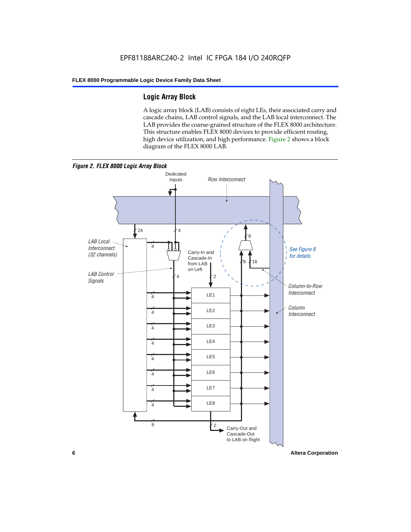### **Logic Array Block**

A logic array block (LAB) consists of eight LEs, their associated carry and cascade chains, LAB control signals, and the LAB local interconnect. The LAB provides the coarse-grained structure of the FLEX 8000 architecture. This structure enables FLEX 8000 devices to provide efficient routing, high device utilization, and high performance. Figure 2 shows a block diagram of the FLEX 8000 LAB.



**6 Altera Corporation**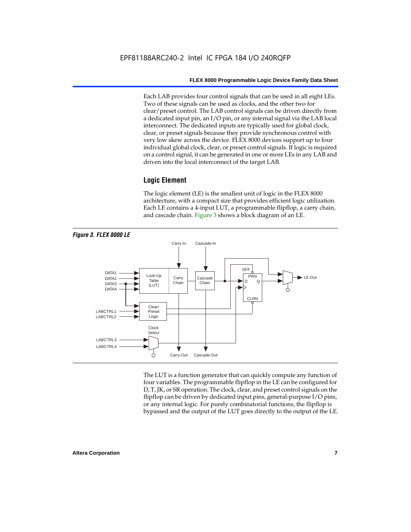Each LAB provides four control signals that can be used in all eight LEs. Two of these signals can be used as clocks, and the other two for clear/preset control. The LAB control signals can be driven directly from a dedicated input pin, an I/O pin, or any internal signal via the LAB local interconnect. The dedicated inputs are typically used for global clock, clear, or preset signals because they provide synchronous control with very low skew across the device. FLEX 8000 devices support up to four individual global clock, clear, or preset control signals. If logic is required on a control signal, it can be generated in one or more LEs in any LAB and driven into the local interconnect of the target LAB.

#### **Logic Element**

The logic element (LE) is the smallest unit of logic in the FLEX 8000 architecture, with a compact size that provides efficient logic utilization. Each LE contains a 4-input LUT, a programmable flipflop, a carry chain, and cascade chain. Figure 3 shows a block diagram of an LE.



The LUT is a function generator that can quickly compute any function of four variables. The programmable flipflop in the LE can be configured for D, T, JK, or SR operation. The clock, clear, and preset control signals on the flipflop can be driven by dedicated input pins, general-purpose I/O pins, or any internal logic. For purely combinatorial functions, the flipflop is bypassed and the output of the LUT goes directly to the output of the LE.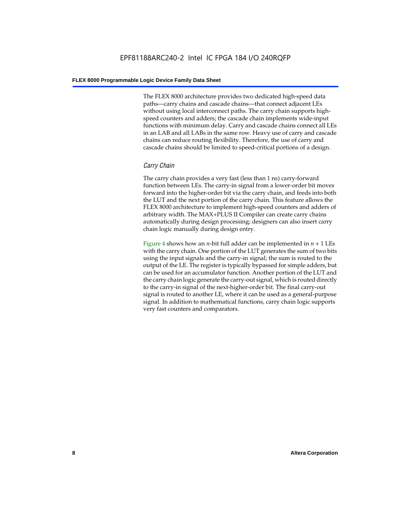The FLEX 8000 architecture provides two dedicated high-speed data paths—carry chains and cascade chains—that connect adjacent LEs without using local interconnect paths. The carry chain supports highspeed counters and adders; the cascade chain implements wide-input functions with minimum delay. Carry and cascade chains connect all LEs in an LAB and all LABs in the same row. Heavy use of carry and cascade chains can reduce routing flexibility. Therefore, the use of carry and cascade chains should be limited to speed-critical portions of a design.

#### *Carry Chain*

The carry chain provides a very fast (less than 1 ns) carry-forward function between LEs. The carry-in signal from a lower-order bit moves forward into the higher-order bit via the carry chain, and feeds into both the LUT and the next portion of the carry chain. This feature allows the FLEX 8000 architecture to implement high-speed counters and adders of arbitrary width. The MAX+PLUS II Compiler can create carry chains automatically during design processing; designers can also insert carry chain logic manually during design entry.

Figure 4 shows how an *n*-bit full adder can be implemented in *n* + 1 LEs with the carry chain. One portion of the LUT generates the sum of two bits using the input signals and the carry-in signal; the sum is routed to the output of the LE. The register is typically bypassed for simple adders, but can be used for an accumulator function. Another portion of the LUT and the carry chain logic generate the carry-out signal, which is routed directly to the carry-in signal of the next-higher-order bit. The final carry-out signal is routed to another LE, where it can be used as a general-purpose signal. In addition to mathematical functions, carry chain logic supports very fast counters and comparators.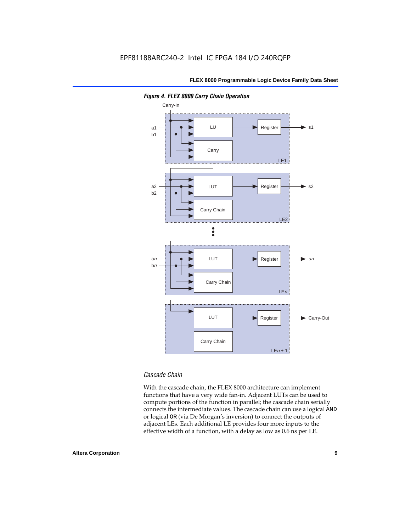

*Figure 4. FLEX 8000 Carry Chain Operation*

#### *Cascade Chain*

With the cascade chain, the FLEX 8000 architecture can implement functions that have a very wide fan-in. Adjacent LUTs can be used to compute portions of the function in parallel; the cascade chain serially connects the intermediate values. The cascade chain can use a logical AND or logical OR (via De Morgan's inversion) to connect the outputs of adjacent LEs. Each additional LE provides four more inputs to the effective width of a function, with a delay as low as 0.6 ns per LE.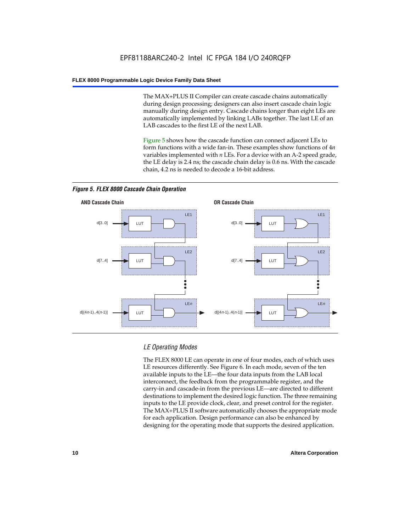The MAX+PLUS II Compiler can create cascade chains automatically during design processing; designers can also insert cascade chain logic manually during design entry. Cascade chains longer than eight LEs are automatically implemented by linking LABs together. The last LE of an LAB cascades to the first LE of the next LAB.

Figure 5 shows how the cascade function can connect adjacent LEs to form functions with a wide fan-in. These examples show functions of 4*n* variables implemented with *n* LEs. For a device with an A-2 speed grade, the LE delay is 2.4 ns; the cascade chain delay is 0.6 ns. With the cascade chain, 4.2 ns is needed to decode a 16-bit address.



*Figure 5. FLEX 8000 Cascade Chain Operation*

#### *LE Operating Modes*

The FLEX 8000 LE can operate in one of four modes, each of which uses LE resources differently. See Figure 6. In each mode, seven of the ten available inputs to the LE—the four data inputs from the LAB local interconnect, the feedback from the programmable register, and the carry-in and cascade-in from the previous LE—are directed to different destinations to implement the desired logic function. The three remaining inputs to the LE provide clock, clear, and preset control for the register. The MAX+PLUS II software automatically chooses the appropriate mode for each application. Design performance can also be enhanced by designing for the operating mode that supports the desired application.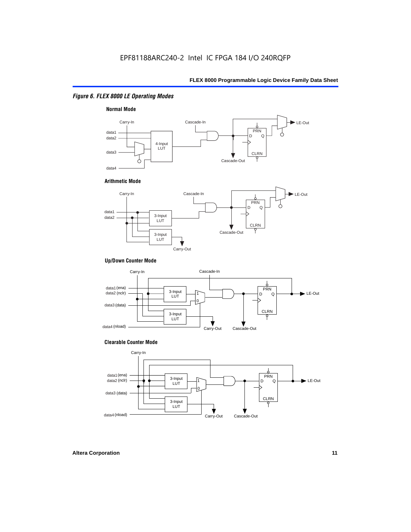#### *Figure 6. FLEX 8000 LE Operating Modes*



#### **Arithmetic Mode**



#### **Up/Down Counter Mode**



#### **Clearable Counter Mode**

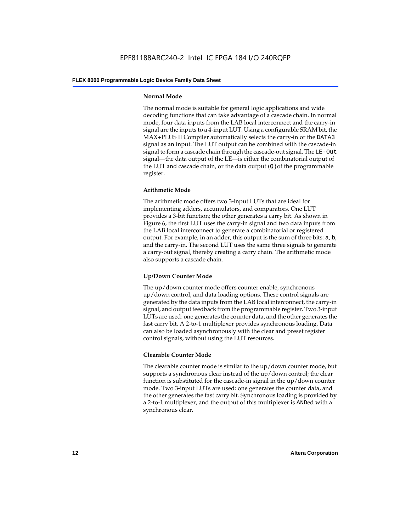#### **Normal Mode**

The normal mode is suitable for general logic applications and wide decoding functions that can take advantage of a cascade chain. In normal mode, four data inputs from the LAB local interconnect and the carry-in signal are the inputs to a 4-input LUT. Using a configurable SRAM bit, the MAX+PLUS II Compiler automatically selects the carry-in or the DATA3 signal as an input. The LUT output can be combined with the cascade-in signal to form a cascade chain through the cascade-out signal. The LE-Out signal—the data output of the LE—is either the combinatorial output of the LUT and cascade chain, or the data output  $(Q)$  of the programmable register.

#### **Arithmetic Mode**

The arithmetic mode offers two 3-input LUTs that are ideal for implementing adders, accumulators, and comparators. One LUT provides a 3-bit function; the other generates a carry bit. As shown in Figure 6, the first LUT uses the carry-in signal and two data inputs from the LAB local interconnect to generate a combinatorial or registered output. For example, in an adder, this output is the sum of three bits: a, b, and the carry-in. The second LUT uses the same three signals to generate a carry-out signal, thereby creating a carry chain. The arithmetic mode also supports a cascade chain.

#### **Up/Down Counter Mode**

The up/down counter mode offers counter enable, synchronous up/down control, and data loading options. These control signals are generated by the data inputs from the LAB local interconnect, the carry-in signal, and output feedback from the programmable register. Two 3-input LUTs are used: one generates the counter data, and the other generates the fast carry bit. A 2-to-1 multiplexer provides synchronous loading. Data can also be loaded asynchronously with the clear and preset register control signals, without using the LUT resources.

#### **Clearable Counter Mode**

The clearable counter mode is similar to the up/down counter mode, but supports a synchronous clear instead of the up/down control; the clear function is substituted for the cascade-in signal in the up/down counter mode. Two 3-input LUTs are used: one generates the counter data, and the other generates the fast carry bit. Synchronous loading is provided by a 2-to-1 multiplexer, and the output of this multiplexer is ANDed with a synchronous clear.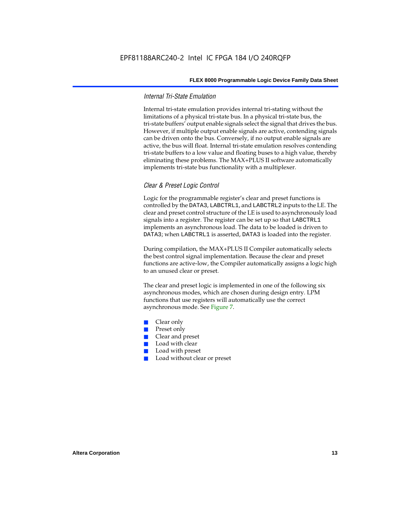#### *Internal Tri-State Emulation*

Internal tri-state emulation provides internal tri-stating without the limitations of a physical tri-state bus. In a physical tri-state bus, the tri-state buffers' output enable signals select the signal that drives the bus. However, if multiple output enable signals are active, contending signals can be driven onto the bus. Conversely, if no output enable signals are active, the bus will float. Internal tri-state emulation resolves contending tri-state buffers to a low value and floating buses to a high value, thereby eliminating these problems. The MAX+PLUS II software automatically implements tri-state bus functionality with a multiplexer.

#### *Clear & Preset Logic Control*

Logic for the programmable register's clear and preset functions is controlled by the DATA3, LABCTRL1, and LABCTRL2 inputs to the LE. The clear and preset control structure of the LE is used to asynchronously load signals into a register. The register can be set up so that LABCTRL1 implements an asynchronous load. The data to be loaded is driven to DATA3; when LABCTRL1 is asserted, DATA3 is loaded into the register.

During compilation, the MAX+PLUS II Compiler automatically selects the best control signal implementation. Because the clear and preset functions are active-low, the Compiler automatically assigns a logic high to an unused clear or preset.

The clear and preset logic is implemented in one of the following six asynchronous modes, which are chosen during design entry. LPM functions that use registers will automatically use the correct asynchronous mode. See Figure 7.

- Clear only
- Preset only
- Clear and preset
- Load with clear
- Load with preset
- Load without clear or preset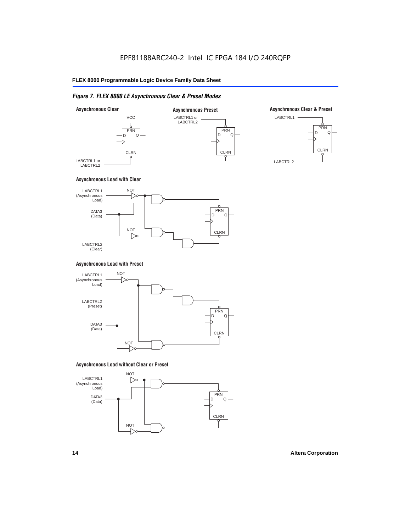#### *Figure 7. FLEX 8000 LE Asynchronous Clear & Preset Modes*



#### **Asynchronous Load with Clear**



#### **Asynchronous Load with Preset**



#### **Asynchronous Load without Clear or Preset**

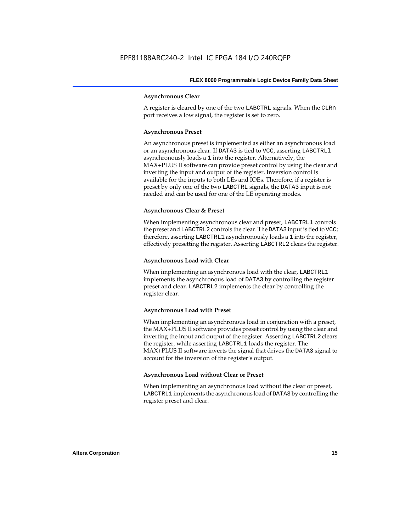#### **Asynchronous Clear**

A register is cleared by one of the two LABCTRL signals. When the CLRn port receives a low signal, the register is set to zero.

#### **Asynchronous Preset**

An asynchronous preset is implemented as either an asynchronous load or an asynchronous clear. If DATA3 is tied to VCC, asserting LABCTRLl asynchronously loads a 1 into the register. Alternatively, the MAX+PLUS II software can provide preset control by using the clear and inverting the input and output of the register. Inversion control is available for the inputs to both LEs and IOEs. Therefore, if a register is preset by only one of the two LABCTRL signals, the DATA3 input is not needed and can be used for one of the LE operating modes.

#### **Asynchronous Clear & Preset**

When implementing asynchronous clear and preset, LABCTRL1 controls the preset and LABCTRL2 controls the clear. The DATA3 input is tied to VCC; therefore, asserting LABCTRL1 asynchronously loads a 1 into the register, effectively presetting the register. Asserting LABCTRL2 clears the register.

#### **Asynchronous Load with Clear**

When implementing an asynchronous load with the clear, LABCTRL1 implements the asynchronous load of DATA3 by controlling the register preset and clear. LABCTRL2 implements the clear by controlling the register clear.

#### **Asynchronous Load with Preset**

When implementing an asynchronous load in conjunction with a preset, the MAX+PLUS II software provides preset control by using the clear and inverting the input and output of the register. Asserting LABCTRL2 clears the register, while asserting LABCTRL1 loads the register. The MAX+PLUS II software inverts the signal that drives the DATA3 signal to account for the inversion of the register's output.

#### **Asynchronous Load without Clear or Preset**

When implementing an asynchronous load without the clear or preset, LABCTRL1 implements the asynchronous load of DATA3 by controlling the register preset and clear.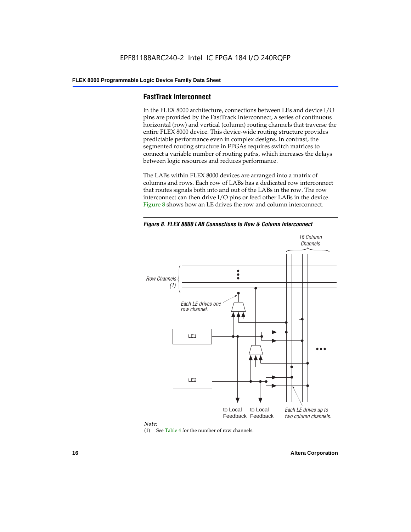#### **FastTrack Interconnect**

In the FLEX 8000 architecture, connections between LEs and device I/O pins are provided by the FastTrack Interconnect, a series of continuous horizontal (row) and vertical (column) routing channels that traverse the entire FLEX 8000 device. This device-wide routing structure provides predictable performance even in complex designs. In contrast, the segmented routing structure in FPGAs requires switch matrices to connect a variable number of routing paths, which increases the delays between logic resources and reduces performance.

The LABs within FLEX 8000 devices are arranged into a matrix of columns and rows. Each row of LABs has a dedicated row interconnect that routes signals both into and out of the LABs in the row. The row interconnect can then drive I/O pins or feed other LABs in the device. Figure 8 shows how an LE drives the row and column interconnect.

*Figure 8. FLEX 8000 LAB Connections to Row & Column Interconnect*





(1) See Table 4 for the number of row channels.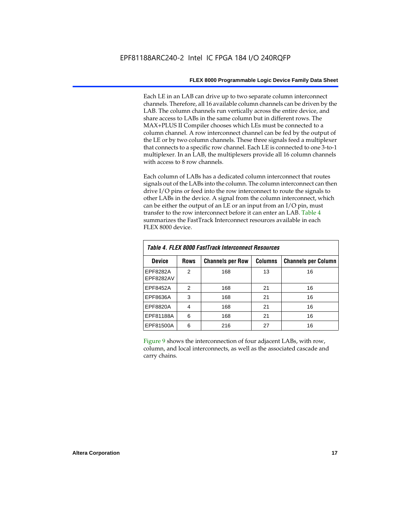Each LE in an LAB can drive up to two separate column interconnect channels. Therefore, all 16 available column channels can be driven by the LAB. The column channels run vertically across the entire device, and share access to LABs in the same column but in different rows. The MAX+PLUS II Compiler chooses which LEs must be connected to a column channel. A row interconnect channel can be fed by the output of the LE or by two column channels. These three signals feed a multiplexer that connects to a specific row channel. Each LE is connected to one 3-to-1 multiplexer. In an LAB, the multiplexers provide all 16 column channels with access to 8 row channels.

Each column of LABs has a dedicated column interconnect that routes signals out of the LABs into the column. The column interconnect can then drive I/O pins or feed into the row interconnect to route the signals to other LABs in the device. A signal from the column interconnect, which can be either the output of an LE or an input from an I/O pin, must transfer to the row interconnect before it can enter an LAB. Table 4 summarizes the FastTrack Interconnect resources available in each FLEX 8000 device.

| Table 4. FLEX 8000 FastTrack Interconnect Resources |             |                         |                |                            |  |  |  |  |  |  |
|-----------------------------------------------------|-------------|-------------------------|----------------|----------------------------|--|--|--|--|--|--|
| Device                                              | <b>Rows</b> | <b>Channels per Row</b> | <b>Columns</b> | <b>Channels per Column</b> |  |  |  |  |  |  |
| EPF8282A<br>EPF8282AV                               | 2           | 168                     | 13             | 16                         |  |  |  |  |  |  |
| EPF8452A                                            | 2           | 168                     | 21             | 16                         |  |  |  |  |  |  |
| EPF8636A                                            | 3           | 168                     | 21             | 16                         |  |  |  |  |  |  |
| EPF8820A                                            | 4           | 168                     | 21             | 16                         |  |  |  |  |  |  |
| EPF81188A                                           | 6           | 168                     | 21             | 16                         |  |  |  |  |  |  |
| EPF81500A                                           | 6           | 216                     | 27             | 16                         |  |  |  |  |  |  |

Figure 9 shows the interconnection of four adjacent LABs, with row, column, and local interconnects, as well as the associated cascade and carry chains.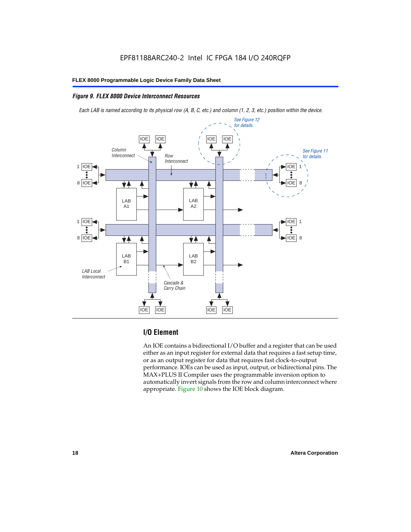#### *Figure 9. FLEX 8000 Device Interconnect Resources*

*Each LAB is named according to its physical row (A, B, C, etc.) and column (1, 2, 3, etc.) position within the device.*



### **I/O Element**

An IOE contains a bidirectional I/O buffer and a register that can be used either as an input register for external data that requires a fast setup time, or as an output register for data that requires fast clock-to-output performance. IOEs can be used as input, output, or bidirectional pins. The MAX+PLUS II Compiler uses the programmable inversion option to automatically invert signals from the row and column interconnect where appropriate. Figure 10 shows the IOE block diagram.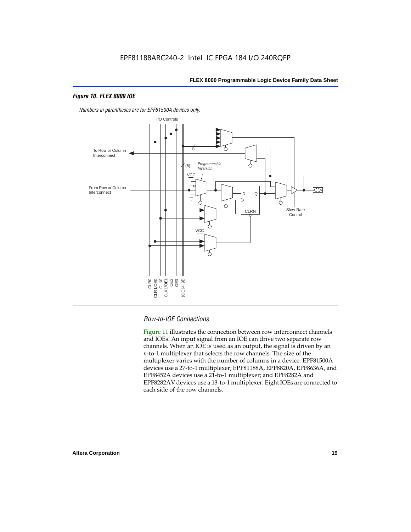#### *Figure 10. FLEX 8000 IOE*



*Numbers in parentheses are for EPF81500A devices only.*

#### *Row-to-IOE Connections*

Figure 11 illustrates the connection between row interconnect channels and IOEs. An input signal from an IOE can drive two separate row channels. When an IOE is used as an output, the signal is driven by an *n*-to-1 multiplexer that selects the row channels. The size of the multiplexer varies with the number of columns in a device. EPF81500A devices use a 27-to-1 multiplexer; EPF81188A, EPF8820A, EPF8636A, and EPF8452A devices use a 21-to-1 multiplexer; and EPF8282A and EPF8282AV devices use a 13-to-1 multiplexer. Eight IOEs are connected to each side of the row channels.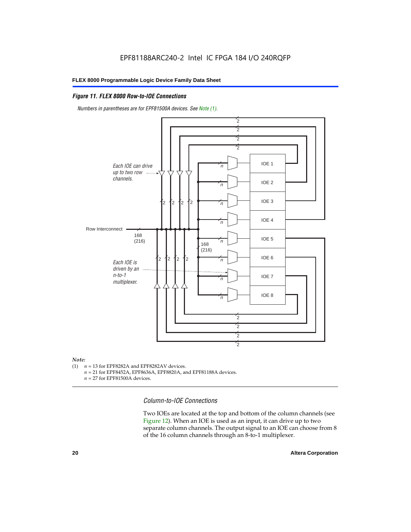#### *Figure 11. FLEX 8000 Row-to-IOE Connections*

*Numbers in parentheses are for EPF81500A devices. See Note (1).*



## *Note:*<br>(1) *n*

- $n = 13$  for EPF8282A and EPF8282AV devices.
	- *n* = 21 for EPF8452A, EPF8636A, EPF8820A, and EPF81188A devices.
	- *n* = 27 for EPF81500A devices.

*Column-to-IOE Connections*

Two IOEs are located at the top and bottom of the column channels (see Figure 12). When an IOE is used as an input, it can drive up to two separate column channels. The output signal to an IOE can choose from 8 of the 16 column channels through an 8-to-1 multiplexer.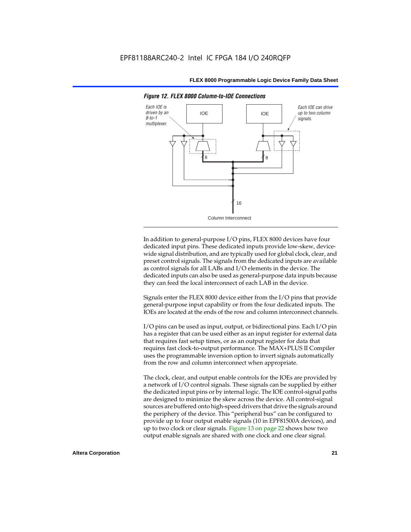

*Figure 12. FLEX 8000 Column-to-IOE Connections*

In addition to general-purpose I/O pins, FLEX 8000 devices have four dedicated input pins. These dedicated inputs provide low-skew, devicewide signal distribution, and are typically used for global clock, clear, and preset control signals. The signals from the dedicated inputs are available as control signals for all LABs and I/O elements in the device. The dedicated inputs can also be used as general-purpose data inputs because they can feed the local interconnect of each LAB in the device.

Signals enter the FLEX 8000 device either from the I/O pins that provide general-purpose input capability or from the four dedicated inputs. The IOEs are located at the ends of the row and column interconnect channels.

I/O pins can be used as input, output, or bidirectional pins. Each I/O pin has a register that can be used either as an input register for external data that requires fast setup times, or as an output register for data that requires fast clock-to-output performance. The MAX+PLUS II Compiler uses the programmable inversion option to invert signals automatically from the row and column interconnect when appropriate.

The clock, clear, and output enable controls for the IOEs are provided by a network of I/O control signals. These signals can be supplied by either the dedicated input pins or by internal logic. The IOE control-signal paths are designed to minimize the skew across the device. All control-signal sources are buffered onto high-speed drivers that drive the signals around the periphery of the device. This "peripheral bus" can be configured to provide up to four output enable signals (10 in EPF81500A devices), and up to two clock or clear signals. Figure 13 on page 22 shows how two output enable signals are shared with one clock and one clear signal.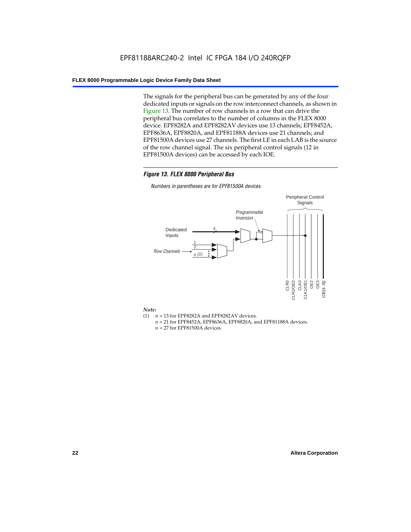The signals for the peripheral bus can be generated by any of the four dedicated inputs or signals on the row interconnect channels, as shown in Figure 13. The number of row channels in a row that can drive the peripheral bus correlates to the number of columns in the FLEX 8000 device. EPF8282A and EPF8282AV devices use 13 channels; EPF8452A, EPF8636A, EPF8820A, and EPF81188A devices use 21 channels; and EPF81500A devices use 27 channels. The first LE in each LAB is the source of the row channel signal. The six peripheral control signals (12 in EPF81500A devices) can be accessed by each IOE.

#### *Figure 13. FLEX 8000 Peripheral Bus*

*Numbers in parentheses are for EPF81500A devices.*



#### *Note:*

- (1)  $n = 13$  for EPF8282A and EPF8282AV devices.
	- *n* = 21 for EPF8452A, EPF8636A, EPF8820A, and EPF81188A devices.
	- *n* = 27 for EPF81500A devices.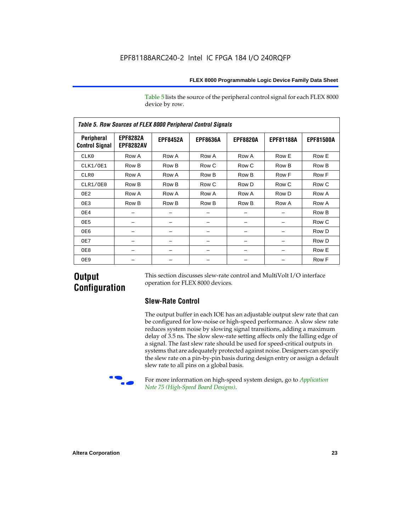Table 5 lists the source of the peripheral control signal for each FLEX 8000 device by row.

| <b>Table 5. Row Sources of FLEX 8000 Peripheral Control Signals</b> |                                     |                 |                 |                 |                  |                  |  |  |  |  |  |
|---------------------------------------------------------------------|-------------------------------------|-----------------|-----------------|-----------------|------------------|------------------|--|--|--|--|--|
| Peripheral<br><b>Control Signal</b>                                 | <b>EPF8282A</b><br><b>EPF8282AV</b> | <b>EPF8452A</b> | <b>EPF8636A</b> | <b>EPF8820A</b> | <b>EPF81188A</b> | <b>EPF81500A</b> |  |  |  |  |  |
| CLK0                                                                | Row A                               | Row A           | Row A           | Row A           | Row E            | Row E            |  |  |  |  |  |
| CLK1/OE1                                                            | Row B                               | Row B           | Row C           | Row C           | Row B            | Row B            |  |  |  |  |  |
| CLR0                                                                | Row A                               | Row A           | Row B           | Row B           | Row F            | Row F            |  |  |  |  |  |
| CLR1/OE0                                                            | Row B                               | Row B           | Row C           | Row D           | Row C            | Row C            |  |  |  |  |  |
| OE <sub>2</sub>                                                     | Row A                               | Row A           | Row A           | Row A           | Row D            | Row A            |  |  |  |  |  |
| OE3                                                                 | Row B                               | Row B           | Row B           | Row B           | Row A            | Row A            |  |  |  |  |  |
| OE4                                                                 |                                     |                 |                 |                 |                  | Row B            |  |  |  |  |  |
| OE5                                                                 |                                     |                 |                 |                 |                  | Row C            |  |  |  |  |  |
| OE6                                                                 |                                     |                 |                 |                 |                  | Row D            |  |  |  |  |  |
| OE7                                                                 |                                     |                 |                 |                 |                  | Row D            |  |  |  |  |  |
| OE8                                                                 |                                     |                 |                 |                 |                  | Row E            |  |  |  |  |  |
| OE9                                                                 |                                     |                 |                 |                 |                  | Row F            |  |  |  |  |  |

### **Output Configuration**

This section discusses slew-rate control and MultiVolt I/O interface operation for FLEX 8000 devices.

### **Slew-Rate Control**

The output buffer in each IOE has an adjustable output slew rate that can be configured for low-noise or high-speed performance. A slow slew rate reduces system noise by slowing signal transitions, adding a maximum delay of 3.5 ns. The slow slew-rate setting affects only the falling edge of a signal. The fast slew rate should be used for speed-critical outputs in systems that are adequately protected against noise. Designers can specify the slew rate on a pin-by-pin basis during design entry or assign a default slew rate to all pins on a global basis.



For more information on high-speed system design, go to *Application Note 75 (High-Speed Board Designs)*.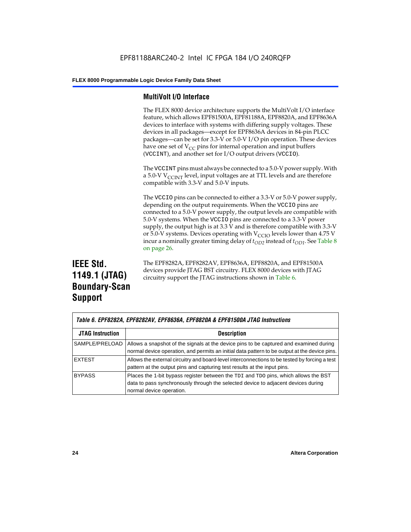#### **MultiVolt I/O Interface**

The FLEX 8000 device architecture supports the MultiVolt I/O interface feature, which allows EPF81500A, EPF81188A, EPF8820A, and EPF8636A devices to interface with systems with differing supply voltages. These devices in all packages—except for EPF8636A devices in 84-pin PLCC packages—can be set for 3.3-V or 5.0-V I/O pin operation. These devices have one set of  $V_{CC}$  pins for internal operation and input buffers (VCCINT), and another set for I/O output drivers (VCCIO).

The VCCINT pins must always be connected to a 5.0-V power supply. With a 5.0-V  $V_{\text{CCINT}}$  level, input voltages are at TTL levels and are therefore compatible with 3.3-V and 5.0-V inputs.

The VCCIO pins can be connected to either a 3.3-V or 5.0-V power supply, depending on the output requirements. When the VCCIO pins are connected to a 5.0-V power supply, the output levels are compatible with 5.0-V systems. When the VCCIO pins are connected to a 3.3-V power supply, the output high is at 3.3 V and is therefore compatible with 3.3-V or 5.0-V systems. Devices operating with  $V_{\text{C}CD}$  levels lower than 4.75 V incur a nominally greater timing delay of  $t_{OD2}$  instead of  $t_{OD1}$ . See Table 8 on page 26.

### **IEEE Std. 1149.1 (JTAG) Boundary-Scan Support**

The EPF8282A, EPF8282AV, EPF8636A, EPF8820A, and EPF81500A devices provide JTAG BST circuitry. FLEX 8000 devices with JTAG circuitry support the JTAG instructions shown in Table 6.

| Table 6. EPF8282A, EPF8282AV, EPF8636A, EPF8820A & EPF81500A JTAG Instructions |                                                                                                                                                                                                      |  |  |  |  |  |
|--------------------------------------------------------------------------------|------------------------------------------------------------------------------------------------------------------------------------------------------------------------------------------------------|--|--|--|--|--|
| <b>JTAG Instruction</b>                                                        | <b>Description</b>                                                                                                                                                                                   |  |  |  |  |  |
| SAMPLE/PRELOAD                                                                 | Allows a snapshot of the signals at the device pins to be captured and examined during<br>normal device operation, and permits an initial data pattern to be output at the device pins.              |  |  |  |  |  |
| <b>EXTEST</b>                                                                  | Allows the external circuitry and board-level interconnections to be tested by forcing a test<br>pattern at the output pins and capturing test results at the input pins.                            |  |  |  |  |  |
| <b>BYPASS</b>                                                                  | Places the 1-bit bypass register between the TDI and TDO pins, which allows the BST<br>data to pass synchronously through the selected device to adjacent devices during<br>normal device operation. |  |  |  |  |  |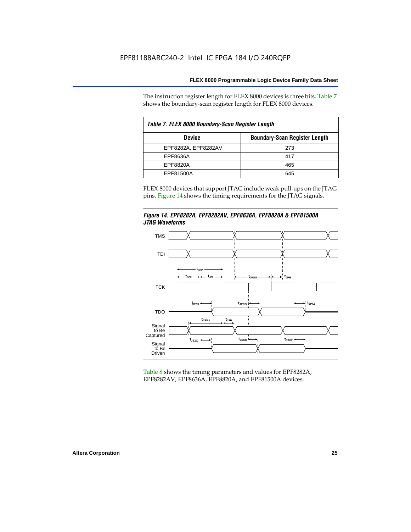The instruction register length for FLEX 8000 devices is three bits. Table 7 shows the boundary-scan register length for FLEX 8000 devices.

| Table 7. FLEX 8000 Boundary-Scan Register Length |                                      |  |  |  |  |  |  |
|--------------------------------------------------|--------------------------------------|--|--|--|--|--|--|
| <b>Device</b>                                    | <b>Boundary-Scan Register Length</b> |  |  |  |  |  |  |
| EPF8282A, EPF8282AV                              | 273                                  |  |  |  |  |  |  |
| EPF8636A                                         | 417                                  |  |  |  |  |  |  |
| EPF8820A                                         | 465                                  |  |  |  |  |  |  |
| EPF81500A                                        | 645                                  |  |  |  |  |  |  |

FLEX 8000 devices that support JTAG include weak pull-ups on the JTAG pins. Figure 14 shows the timing requirements for the JTAG signals.





Table 8 shows the timing parameters and values for EPF8282A, EPF8282AV, EPF8636A, EPF8820A, and EPF81500A devices.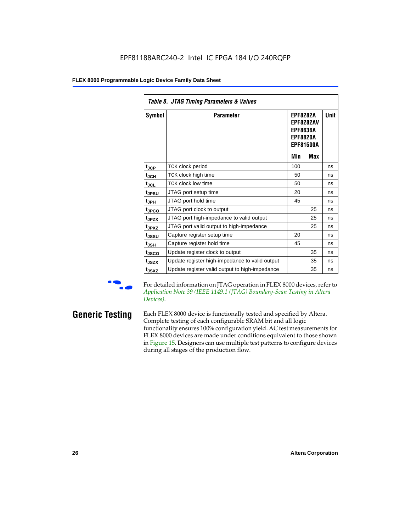| Table 8. JTAG Timing Parameters & Values |                                                |                                                                                               |     |      |  |  |  |  |  |  |
|------------------------------------------|------------------------------------------------|-----------------------------------------------------------------------------------------------|-----|------|--|--|--|--|--|--|
| Symbol                                   | <b>Parameter</b>                               | <b>EPF8282A</b><br><b>EPF8282AV</b><br><b>EPF8636A</b><br><b>EPF8820A</b><br><b>EPF81500A</b> |     | Unit |  |  |  |  |  |  |
|                                          |                                                | Min                                                                                           | Max |      |  |  |  |  |  |  |
| $t_{\rm JCP}$                            | TCK clock period                               | 100                                                                                           |     | ns   |  |  |  |  |  |  |
| t <sub>JCH</sub>                         | TCK clock high time                            | 50                                                                                            |     | ns   |  |  |  |  |  |  |
| $t_{JCL}$                                | TCK clock low time                             | 50                                                                                            |     | ns   |  |  |  |  |  |  |
| t <sub>JPSU</sub>                        | JTAG port setup time                           | 20                                                                                            |     | ns   |  |  |  |  |  |  |
| t <sub>JPH</sub>                         | JTAG port hold time                            | 45                                                                                            |     | ns   |  |  |  |  |  |  |
| t <sub>JPCO</sub>                        | JTAG port clock to output                      |                                                                                               | 25  | ns   |  |  |  |  |  |  |
| t <sub>JPZX</sub>                        | JTAG port high-impedance to valid output       |                                                                                               | 25  | ns   |  |  |  |  |  |  |
| t <sub>JPXZ</sub>                        | JTAG port valid output to high-impedance       |                                                                                               | 25  | ns   |  |  |  |  |  |  |
| tjssu                                    | Capture register setup time                    | 20                                                                                            |     | ns   |  |  |  |  |  |  |
| $t_{JSH}$                                | Capture register hold time                     | 45                                                                                            |     | ns   |  |  |  |  |  |  |
| tjsco                                    | Update register clock to output                |                                                                                               | 35  | ns   |  |  |  |  |  |  |
| t <sub>JSZX</sub>                        | Update register high-impedance to valid output |                                                                                               | 35  | ns   |  |  |  |  |  |  |
| tjsxz                                    | Update register valid output to high-impedance |                                                                                               | 35  | ns   |  |  |  |  |  |  |

For detailed information on JTAG operation in FLEX 8000 devices, refer to *Application Note 39 (IEEE 1149.1 (JTAG) Boundary-Scan Testing in Altera Devices)*.

**Generic Testing** Each FLEX 8000 device is functionally tested and specified by Altera. Complete testing of each configurable SRAM bit and all logic functionality ensures 100% configuration yield. AC test measurements for FLEX 8000 devices are made under conditions equivalent to those shown in Figure 15. Designers can use multiple test patterns to configure devices during all stages of the production flow.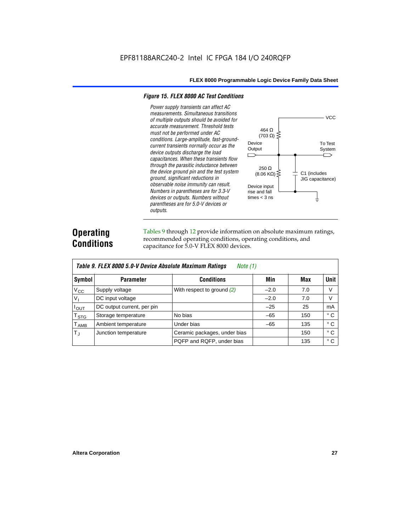#### *Figure 15. FLEX 8000 AC Test Conditions*

*Power supply transients can affect AC measurements. Simultaneous transitions*  **VCC** *of multiple outputs should be avoided for accurate measurement. Threshold tests*  464 Ω *must not be performed under AC*   $(703 \Omega)$ *conditions. Large-amplitude, fast-ground-*Device To Test *current transients normally occur as the*  **Output** System *device outputs discharge the load*   $\Box$ ↽ *capacitances. When these transients flow through the parasitic inductance between*  250 Ω *the device ground pin and the test system*   $(8.06 \text{ K}\Omega)$ C1 (includes *ground, significant reductions in*  JIG capacitance) *observable noise immunity can result.*  Device input *Numbers in parentheses are for 3.3-V*  rise and fall *devices or outputs. Numbers without*  times  $<$  3 ns ╧ *parentheses are for 5.0-V devices or outputs.*

### **Operating Conditions**

Tables 9 through 12 provide information on absolute maximum ratings, recommended operating conditions, operating conditions, and capacitance for 5.0-V FLEX 8000 devices.

|               | Table 9. FLEX 8000 5.0-V Device Absolute Maximum Ratings<br>Note (1) |                              |        |     |              |  |  |  |  |  |  |  |
|---------------|----------------------------------------------------------------------|------------------------------|--------|-----|--------------|--|--|--|--|--|--|--|
| Symbol        | <b>Parameter</b>                                                     | <b>Conditions</b>            | Min    | Max | <b>Unit</b>  |  |  |  |  |  |  |  |
| $V_{\rm CC}$  | Supply voltage                                                       | With respect to ground (2)   | $-2.0$ | 7.0 | V            |  |  |  |  |  |  |  |
| $V_{1}$       | DC input voltage                                                     |                              | $-2.0$ | 7.0 | V            |  |  |  |  |  |  |  |
| $I_{OUT}$     | DC output current, per pin                                           |                              | $-25$  | 25  | mA           |  |  |  |  |  |  |  |
| $T_{STG}$     | Storage temperature                                                  | No bias                      | $-65$  | 150 | $^{\circ}$ C |  |  |  |  |  |  |  |
| $T_{\rm AMB}$ | Ambient temperature                                                  | Under bias                   | $-65$  | 135 | $^{\circ}$ C |  |  |  |  |  |  |  |
| $T_{\rm J}$   | Junction temperature                                                 | Ceramic packages, under bias |        | 150 | $^{\circ}$ C |  |  |  |  |  |  |  |
|               |                                                                      | PQFP and RQFP, under bias    |        | 135 | ° C          |  |  |  |  |  |  |  |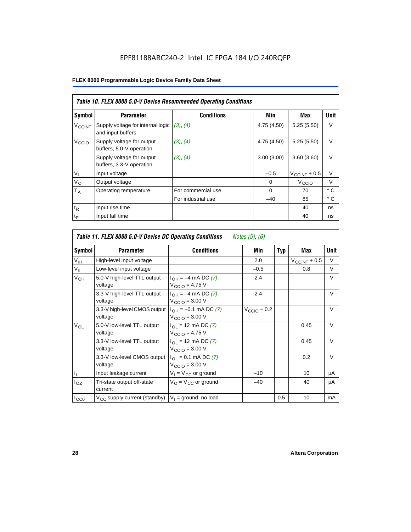|                          | Table 10. FLEX 8000 5.0-V Device Recommended Operating Conditions |                    |             |                          |        |  |  |  |  |  |
|--------------------------|-------------------------------------------------------------------|--------------------|-------------|--------------------------|--------|--|--|--|--|--|
| Symbol                   | <b>Parameter</b>                                                  | <b>Conditions</b>  | Min         | Max                      | Unit   |  |  |  |  |  |
| <b>V<sub>CCINT</sub></b> | Supply voltage for internal logic<br>and input buffers            | (3), (4)           | 4.75 (4.50) | 5.25(5.50)               | $\vee$ |  |  |  |  |  |
| V <sub>CCIO</sub>        | Supply voltage for output<br>buffers, 5.0-V operation             | (3), (4)           | 4.75(4.50)  | 5.25(5.50)               | $\vee$ |  |  |  |  |  |
|                          | Supply voltage for output<br>buffers, 3.3-V operation             | (3), (4)           | 3.00(3.00)  | 3.60(3.60)               | $\vee$ |  |  |  |  |  |
| $V_{I}$                  | Input voltage                                                     |                    | $-0.5$      | $V_{\text{CCINT}} + 0.5$ | $\vee$ |  |  |  |  |  |
| $V_{\rm O}$              | Output voltage                                                    |                    | 0           | V <sub>CCIO</sub>        | $\vee$ |  |  |  |  |  |
| $T_A$                    | Operating temperature                                             | For commercial use | $\Omega$    | 70                       | °C     |  |  |  |  |  |
|                          |                                                                   | For industrial use | $-40$       | 85                       | °C     |  |  |  |  |  |
| $t_{R}$                  | Input rise time                                                   |                    |             | 40                       | ns     |  |  |  |  |  |
| $t_F$                    | Input fall time                                                   |                    |             | 40                       | ns     |  |  |  |  |  |

|                           | Table 11. FLEX 8000 5.0-V Device DC Operating Conditions<br>Notes (5), (6) |                                                                   |                         |            |                          |        |  |  |  |  |  |
|---------------------------|----------------------------------------------------------------------------|-------------------------------------------------------------------|-------------------------|------------|--------------------------|--------|--|--|--|--|--|
| Symbol                    | <b>Parameter</b>                                                           | <b>Conditions</b>                                                 | Min                     | <b>Typ</b> | Max                      | Unit   |  |  |  |  |  |
| V <sub>IH</sub>           | High-level input voltage                                                   |                                                                   | 2.0                     |            | $V_{\text{CCINT}} + 0.5$ | $\vee$ |  |  |  |  |  |
| $V_{IL}$                  | Low-level input voltage                                                    |                                                                   | $-0.5$                  |            | 0.8                      | V      |  |  |  |  |  |
| V <sub>OH</sub>           | 5.0-V high-level TTL output<br>voltage                                     | $I_{OH} = -4$ mA DC (7)<br>$V_{\text{CCIO}} = 4.75 V$             | 2.4                     |            |                          | V      |  |  |  |  |  |
|                           | 3.3-V high-level TTL output<br>voltage                                     | $I_{OH} = -4$ mA DC (7)<br>$V_{\text{CCIO}} = 3.00 \text{ V}$     | 2.4                     |            |                          | $\vee$ |  |  |  |  |  |
|                           | 3.3-V high-level CMOS output<br>voltage                                    | $I_{OH} = -0.1$ mA DC (7)<br>$V_{\text{CCIO}} = 3.00 \text{ V}$   | $V_{\text{CCIO}} - 0.2$ |            |                          | $\vee$ |  |  |  |  |  |
| $V_{OL}$                  | 5.0-V low-level TTL output<br>voltage                                      | $I_{OL}$ = 12 mA DC (7)<br>$V_{\text{CCIO}} = 4.75 V$             |                         |            | 0.45                     | V      |  |  |  |  |  |
|                           | 3.3-V low-level TTL output<br>voltage                                      | $I_{\Omega}$ = 12 mA DC (7)<br>$V_{\text{CCIO}} = 3.00 \text{ V}$ |                         |            | 0.45                     | $\vee$ |  |  |  |  |  |
|                           | 3.3-V low-level CMOS output<br>voltage                                     | $I_{OL} = 0.1$ mA DC (7)<br>$VCCIO = 3.00 V$                      |                         |            | 0.2                      | $\vee$ |  |  |  |  |  |
| $\mathbf{I}_{\mathbf{I}}$ | Input leakage current                                                      | $V_1 = V_{CC}$ or ground                                          | $-10$                   |            | 10                       | μA     |  |  |  |  |  |
| $I_{OZ}$                  | Tri-state output off-state<br>current                                      | $V_{\Omega} = V_{\Omega}$ or ground                               | $-40$                   |            | 40                       | μA     |  |  |  |  |  |
| ICCO                      | $V_{CC}$ supply current (standby) $ V_1 $ = ground, no load                |                                                                   |                         | 0.5        | 10                       | mA     |  |  |  |  |  |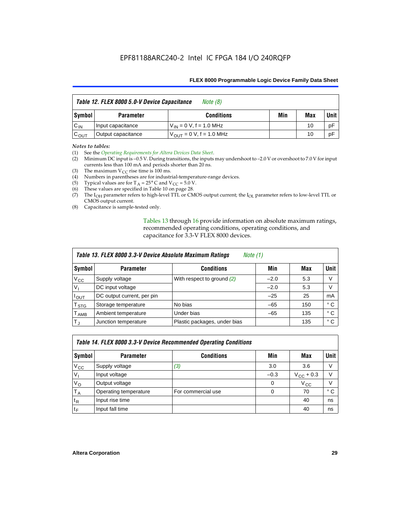| Table 12. FLEX 8000 5.0-V Device Capacitance<br>Note (8) |                    |                               |     |     |        |
|----------------------------------------------------------|--------------------|-------------------------------|-----|-----|--------|
| Symbol                                                   | <b>Parameter</b>   | <b>Conditions</b>             | Min | Max | Unit I |
| $C_{IN}$                                                 | Input capacitance  | $V_{IN} = 0 V$ , f = 1.0 MHz  |     | 10  | pF     |
| $C_{OUT}$                                                | Output capacitance | $V_{OIII}$ = 0 V, f = 1.0 MHz |     | 10  | pF     |

#### *Notes to tables:*

(1) See the *Operating Requirements for Altera Devices Data Sheet*.

- (2) Minimum DC input is –0.5 V. During transitions, the inputs may undershoot to –2.0 V or overshoot to 7.0 V for input currents less than 100 mA and periods shorter than 20 ns.
- (3) The maximum  $V_{CC}$  rise time is 100 ms.
- (4) Numbers in parentheses are for industrial-temperature-range devices.
- (5) Typical values are for  $T_A = 25^\circ$  C and  $V_{CC} = 5.0$  V.
- (6) These values are specified in Table 10 on page 28.
- (7) The  $I_{OH}$  parameter refers to high-level TTL or CMOS output current; the  $I_{OL}$  parameter refers to low-level TTL or CMOS output current.
- (8) Capacitance is sample-tested only.

Tables 13 through 16 provide information on absolute maximum ratings, recommended operating conditions, operating conditions, and capacitance for 3.3-V FLEX 8000 devices.

| Table 13. FLEX 8000 3.3-V Device Absolute Maximum Ratings<br><i>Note</i> $(1)$ |                            |                              |        |     |      |  |  |
|--------------------------------------------------------------------------------|----------------------------|------------------------------|--------|-----|------|--|--|
| Symbol                                                                         | <b>Parameter</b>           | <b>Conditions</b>            | Min    | Max | Unit |  |  |
| $V_{CC}$                                                                       | Supply voltage             | With respect to ground (2)   | $-2.0$ | 5.3 | V    |  |  |
| V <sub>1</sub>                                                                 | DC input voltage           |                              | $-2.0$ | 5.3 | v    |  |  |
| $I_{\text{OUT}}$                                                               | DC output current, per pin |                              | $-25$  | 25  | mA   |  |  |
| T <sub>STG</sub>                                                               | Storage temperature        | No bias                      | $-65$  | 150 | ° C  |  |  |
| <b>T</b> <sub>AMB</sub>                                                        | Ambient temperature        | Under bias                   | $-65$  | 135 | ° C  |  |  |
| $T_J$                                                                          | Junction temperature       | Plastic packages, under bias |        | 135 | ° C  |  |  |

| Table 14. FLEX 8000 3.3-V Device Recommended Operating Conditions |                       |                    |          |                    |        |  |  |
|-------------------------------------------------------------------|-----------------------|--------------------|----------|--------------------|--------|--|--|
| Symbol                                                            | <b>Parameter</b>      | <b>Conditions</b>  | Min      | Max                | Unit I |  |  |
| $V_{\rm CC}$                                                      | Supply voltage        | (3)                | 3.0      | 3.6                | V      |  |  |
| $V_{1}$                                                           | Input voltage         |                    | $-0.3$   | $V_{\rm CC}$ + 0.3 | $\vee$ |  |  |
| $V_{\rm O}$                                                       | Output voltage        |                    | $\Omega$ | $V_{\rm CC}$       | $\vee$ |  |  |
| $T_A$                                                             | Operating temperature | For commercial use | 0        | 70                 | ۰c     |  |  |
| $t_{R}$                                                           | Input rise time       |                    |          | 40                 | ns     |  |  |
| $t_F$                                                             | Input fall time       |                    |          | 40                 | ns     |  |  |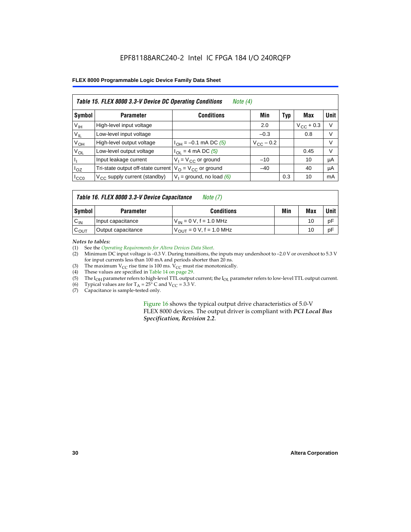| Table 15. FLEX 8000 3.3-V Device DC Operating Conditions<br>Note $(4)$ |                                          |                                          |                    |     |                    |        |  |
|------------------------------------------------------------------------|------------------------------------------|------------------------------------------|--------------------|-----|--------------------|--------|--|
| Symbol                                                                 | <b>Parameter</b>                         | <b>Conditions</b>                        | Min                | Typ | Max                | Unit   |  |
| V <sub>IH</sub>                                                        | High-level input voltage                 |                                          | 2.0                |     | $V_{\rm CC}$ + 0.3 | $\vee$ |  |
| $V_{IL}$                                                               | Low-level input voltage                  |                                          | $-0.3$             |     | 0.8                | V      |  |
| $V_{OH}$                                                               | High-level output voltage                | $I_{OH} = -0.1$ mA DC (5)                | $V_{\rm CC}$ – 0.2 |     |                    | V      |  |
| $V_{OL}$                                                               | Low-level output voltage                 | $I_{OL}$ = 4 mA DC (5)                   |                    |     | 0.45               | $\vee$ |  |
| П                                                                      | Input leakage current                    | $V_1 = V_{CC}$ or ground                 | $-10$              |     | 10                 | μA     |  |
| $I_{OZ}$                                                               | Tri-state output off-state current       | $V_{\text{O}} = V_{\text{CC}}$ or ground | $-40$              |     | 40                 | μA     |  |
| ICCO                                                                   | $V_{\text{CC}}$ supply current (standby) | $V_1$ = ground, no load (6)              |                    | 0.3 | 10                 | mA     |  |

| Table 16. FLEX 8000 3.3-V Device Capacitance | Note $(7)$ |
|----------------------------------------------|------------|
|----------------------------------------------|------------|

| Symbol           | <b>Parameter</b>   | <b>Conditions</b>                   | Min | Max | Unit |
|------------------|--------------------|-------------------------------------|-----|-----|------|
| $C_{IN}$         | Input capacitance  | $V_{1N} = 0 V$ , f = 1.0 MHz        |     | 10  | рF   |
| $c_{\text{OUT}}$ | Output capacitance | $V_{\text{OUT}} = 0 V, f = 1.0 MHz$ |     | 10  | pF   |

*Notes to tables:*

(1) See the *Operating Requirements for Altera Devices Data Sheet*.

(2) Minimum DC input voltage is –0.3 V. During transitions, the inputs may undershoot to –2.0 V or overshoot to 5.3 V for input currents less than 100 mA and periods shorter than 20 ns.

(3) The maximum  $V_{CC}$  rise time is 100 ms.  $V_{CC}$  must rise monotonically.<br>(4) These values are specified in Table 14 on page 29.

These values are specified in Table 14 on page 29.

(5) The I<sub>OH</sub> parameter refers to high-level TTL output current; the I<sub>OL</sub> parameter refers to low-level TTL output current.<br>(6) Typical values are for T<sub>A</sub> = 25° C and V<sub>CC</sub> = 3.3 V.

(6) Typical values are for  $T_A = 25^\circ$  C and  $V_{CC} = 3.3$  V.<br>(7) Capacitance is sample-tested only.

Capacitance is sample-tested only.

Figure 16 shows the typical output drive characteristics of 5.0-V FLEX 8000 devices. The output driver is compliant with *PCI Local Bus Specification, Revision 2.2*.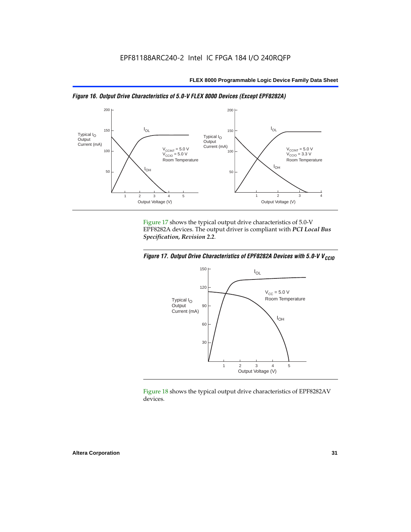



Figure 17 shows the typical output drive characteristics of 5.0-V EPF8282A devices. The output driver is compliant with *PCI Local Bus Specification, Revision 2.2*.





Figure 18 shows the typical output drive characteristics of EPF8282AV devices.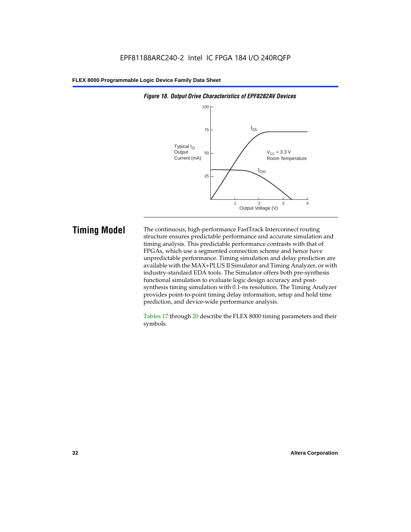

#### *Figure 18. Output Drive Characteristics of EPF8282AV Devices*

**Timing Model** The continuous, high-performance FastTrack Interconnect routing structure ensures predictable performance and accurate simulation and timing analysis. This predictable performance contrasts with that of FPGAs, which use a segmented connection scheme and hence have unpredictable performance. Timing simulation and delay prediction are available with the MAX+PLUS II Simulator and Timing Analyzer, or with industry-standard EDA tools. The Simulator offers both pre-synthesis functional simulation to evaluate logic design accuracy and postsynthesis timing simulation with 0.1-ns resolution. The Timing Analyzer provides point-to-point timing delay information, setup and hold time prediction, and device-wide performance analysis.

> Tables 17 through 20 describe the FLEX 8000 timing parameters and their symbols.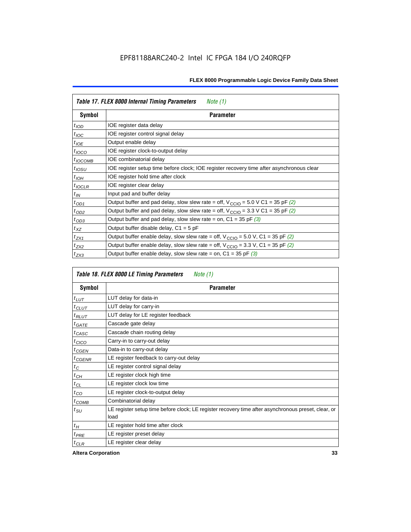| Table 17. FLEX 8000 Internal Timing Parameters<br>Note $(1)$ |                                                                                                              |  |  |  |  |
|--------------------------------------------------------------|--------------------------------------------------------------------------------------------------------------|--|--|--|--|
| Symbol                                                       | <b>Parameter</b>                                                                                             |  |  |  |  |
| $t_{\text{IOD}}$                                             | IOE register data delay                                                                                      |  |  |  |  |
| $t_{\text{IOC}}$                                             | IOE register control signal delay                                                                            |  |  |  |  |
| $t_{IOE}$                                                    | Output enable delay                                                                                          |  |  |  |  |
| $t_{IOCO}$                                                   | IOE register clock-to-output delay                                                                           |  |  |  |  |
| $t_{IOCOMB}$                                                 | IOE combinatorial delay                                                                                      |  |  |  |  |
| $t_{IOSU}$                                                   | IOE register setup time before clock; IOE register recovery time after asynchronous clear                    |  |  |  |  |
| $t_{IOH}$                                                    | IOE register hold time after clock                                                                           |  |  |  |  |
| $t_{IOCLR}$                                                  | IOE register clear delay                                                                                     |  |  |  |  |
| $t_{IN}$                                                     | Input pad and buffer delay                                                                                   |  |  |  |  |
| $t_{OD1}$                                                    | Output buffer and pad delay, slow slew rate = off, $V_{\text{CCIO}} = 5.0 \text{ V C1} = 35 \text{ pF } (2)$ |  |  |  |  |
| $t_{OD2}$                                                    | Output buffer and pad delay, slow slew rate = off, $V_{\text{CCIO}} = 3.3 \text{ V C1} = 35 \text{ pF}$ (2)  |  |  |  |  |
| $t_{OD3}$                                                    | Output buffer and pad delay, slow slew rate = on, $C1 = 35$ pF (3)                                           |  |  |  |  |
| $t_{XZ}$                                                     | Output buffer disable delay, $C1 = 5$ pF                                                                     |  |  |  |  |
| $t_{ZX1}$                                                    | Output buffer enable delay, slow slew rate = off, $V_{\text{CCIO}} = 5.0$ V, C1 = 35 pF (2)                  |  |  |  |  |
| $t_{ZX2}$                                                    | Output buffer enable delay, slow slew rate = off, $V_{\text{CCIO}} = 3.3$ V, C1 = 35 pF (2)                  |  |  |  |  |
| $t_{ZX3}$                                                    | Output buffer enable delay, slow slew rate = on, $C1 = 35$ pF (3)                                            |  |  |  |  |

| Table 18. FLEX 8000 LE Timing Parameters<br>Note (1) |                                                                                                             |  |  |  |  |
|------------------------------------------------------|-------------------------------------------------------------------------------------------------------------|--|--|--|--|
| Symbol                                               | <b>Parameter</b>                                                                                            |  |  |  |  |
| $t_{LUT}$                                            | LUT delay for data-in                                                                                       |  |  |  |  |
| $t_{CLUT}$                                           | LUT delay for carry-in                                                                                      |  |  |  |  |
| $t_{RLUT}$                                           | LUT delay for LE register feedback                                                                          |  |  |  |  |
| $t$ GATE                                             | Cascade gate delay                                                                                          |  |  |  |  |
| $t_{CASC}$                                           | Cascade chain routing delay                                                                                 |  |  |  |  |
| $t_{CICO}$                                           | Carry-in to carry-out delay                                                                                 |  |  |  |  |
| $t_{CGEN}$                                           | Data-in to carry-out delay                                                                                  |  |  |  |  |
| ${}^{t}$ CGENR                                       | LE register feedback to carry-out delay                                                                     |  |  |  |  |
| $t_C$                                                | LE register control signal delay                                                                            |  |  |  |  |
| $t_{CH}$                                             | LE register clock high time                                                                                 |  |  |  |  |
| $t_{CL}$                                             | LE register clock low time                                                                                  |  |  |  |  |
| $t_{CO}$                                             | LE register clock-to-output delay                                                                           |  |  |  |  |
| $t_{COMB}$                                           | Combinatorial delay                                                                                         |  |  |  |  |
| t <sub>SU</sub>                                      | LE register setup time before clock; LE register recovery time after asynchronous preset, clear, or<br>load |  |  |  |  |
| $t_H$                                                | LE register hold time after clock                                                                           |  |  |  |  |
| $t_{PRE}$                                            | LE register preset delay                                                                                    |  |  |  |  |
| $t_{CLR}$                                            | LE register clear delay                                                                                     |  |  |  |  |

**Altera Corporation 33**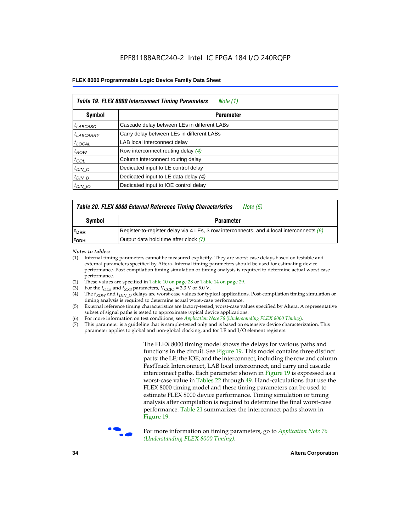| Table 19. FLEX 8000 Interconnect Timing Parameters<br>Note (1) |                                             |  |  |  |  |
|----------------------------------------------------------------|---------------------------------------------|--|--|--|--|
| <b>Symbol</b>                                                  | <b>Parameter</b>                            |  |  |  |  |
| <sup>t</sup> LABCASC                                           | Cascade delay between LEs in different LABs |  |  |  |  |
| $t_{LABCARRY}$                                                 | Carry delay between LEs in different LABs   |  |  |  |  |
| $t_{\text{LOCAL}}$                                             | LAB local interconnect delay                |  |  |  |  |
| $t_{ROW}$                                                      | Row interconnect routing delay (4)          |  |  |  |  |
| $t_{COL}$                                                      | Column interconnect routing delay           |  |  |  |  |
| $t_{DIN}$ $C$                                                  | Dedicated input to LE control delay         |  |  |  |  |
| $t_{DIN}$ D                                                    | Dedicated input to LE data delay (4)        |  |  |  |  |
| $t_{DIN}$ 10                                                   | Dedicated input to IOE control delay        |  |  |  |  |

#### *Table 20. FLEX 8000 External Reference Timing Characteristics Note (5)*

| Symbol<br>Parameter |                                                                                            |  |
|---------------------|--------------------------------------------------------------------------------------------|--|
| <sup>T</sup> DRR    | Register-to-register delay via 4 LEs, 3 row interconnects, and 4 local interconnects $(6)$ |  |
| <sup>L</sup> ODH    | Output data hold time after clock (7)                                                      |  |

*Notes to tables:*

- (1) Internal timing parameters cannot be measured explicitly. They are worst-case delays based on testable and external parameters specified by Altera. Internal timing parameters should be used for estimating device performance. Post-compilation timing simulation or timing analysis is required to determine actual worst-case performance.
- (2) These values are specified in Table 10 on page 28 or Table 14 on page 29.<br>(3) For the  $t_{OD3}$  and  $t_{ZX3}$  parameters,  $V_{CCIO} = 3.3$  V or 5.0 V.
- (3) For the  $t_{OD3}$  and  $t_{ZX3}$  parameters,  $V_{CCIO} = 3.3$  V or 5.0 V.<br>(4) The  $t_{ROM}$  and  $t_{DIN}$   $_D$  delays are worst-case values for type
- The *t<sub>ROW</sub>* and *t<sub>DIN\_D</sub>* delays are worst-case values for typical applications. Post-compilation timing simulation or timing analysis is required to determine actual worst-case performance.
- (5) External reference timing characteristics are factory-tested, worst-case values specified by Altera. A representative subset of signal paths is tested to approximate typical device applications.
- (6) For more information on test conditions, see *Application Note 76* (*Understanding FLEX 8000 Timing*).
- (7) This parameter is a guideline that is sample-tested only and is based on extensive device characterization. This parameter applies to global and non-global clocking, and for LE and I/O element registers.

The FLEX 8000 timing model shows the delays for various paths and functions in the circuit. See Figure 19. This model contains three distinct parts: the LE; the IOE; and the interconnect, including the row and column FastTrack Interconnect, LAB local interconnect, and carry and cascade interconnect paths. Each parameter shown in Figure 19 is expressed as a worst-case value in Tables 22 through 49. Hand-calculations that use the FLEX 8000 timing model and these timing parameters can be used to estimate FLEX 8000 device performance. Timing simulation or timing analysis after compilation is required to determine the final worst-case performance. Table 21 summarizes the interconnect paths shown in Figure 19.



f For more information on timing parameters, go to *Application Note 76 (Understanding FLEX 8000 Timing)*.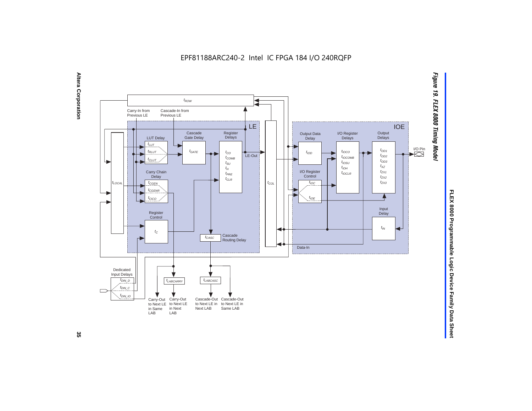EPF81188ARC240-2 Intel IC FPGA 184 I/O 240RQFP

Altera Corporation **Altera Corporation 35**

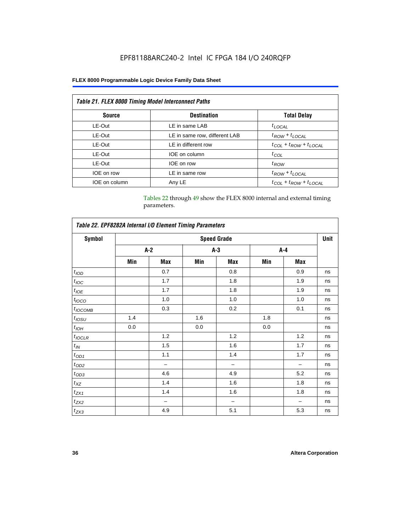| <b>Table 21. FLEX 8000 Timing Model Interconnect Paths</b> |                               |                                 |  |  |  |  |
|------------------------------------------------------------|-------------------------------|---------------------------------|--|--|--|--|
| <b>Source</b>                                              | <b>Destination</b>            | <b>Total Delay</b>              |  |  |  |  |
| LE-Out                                                     | LE in same LAB                | $t_{LOCAL}$                     |  |  |  |  |
| LE-Out                                                     | LE in same row, different LAB | $t_{ROW} + t_{LOCAL}$           |  |  |  |  |
| LE-Out                                                     | LE in different row           | $t_{COL} + t_{ROW} + t_{LOCAL}$ |  |  |  |  |
| LE-Out                                                     | IOE on column                 | $t_{COL}$                       |  |  |  |  |
| LE-Out                                                     | IOE on row                    | $t_{ROW}$                       |  |  |  |  |
| IOE on row                                                 | LE in same row                | $t_{ROW} + t_{LOCAL}$           |  |  |  |  |
| IOE on column                                              | Any LE                        | $t_{COL} + t_{ROW} + t_{LOCAL}$ |  |  |  |  |

Tables 22 through 49 show the FLEX 8000 internal and external timing parameters.

| Table 22. EPF8282A Internal I/O Element Timing Parameters |                    |       |       |                          |       |     |    |  |
|-----------------------------------------------------------|--------------------|-------|-------|--------------------------|-------|-----|----|--|
| <b>Symbol</b>                                             | <b>Speed Grade</b> |       |       |                          |       |     |    |  |
|                                                           |                    | $A-2$ | $A-3$ |                          | $A-4$ |     |    |  |
|                                                           | Min                | Max   | Min   | Max                      | Min   | Max |    |  |
| $t_{\rm 1OD}$                                             |                    | 0.7   |       | 0.8                      |       | 0.9 | ns |  |
| $t_{\textit{IOC}}$                                        |                    | 1.7   |       | 1.8                      |       | 1.9 | ns |  |
| $t_{IOE}$                                                 |                    | 1.7   |       | 1.8                      |       | 1.9 | ns |  |
| $t_{IOCO}$                                                |                    | 1.0   |       | 1.0                      |       | 1.0 | ns |  |
| $t_{IOCOMB}$                                              |                    | 0.3   |       | 0.2                      |       | 0.1 | ns |  |
| $t_{\rm \textit{IOSU}}$                                   | 1.4                |       | 1.6   |                          | 1.8   |     | ns |  |
| $t_{IOH}$                                                 | 0.0                |       | 0.0   |                          | 0.0   |     | ns |  |
| $t_{IOCLR}$                                               |                    | 1.2   |       | 1.2                      |       | 1.2 | ns |  |
| $t_{I\!N}$                                                |                    | 1.5   |       | 1.6                      |       | 1.7 | ns |  |
| $t_{OD1}$                                                 |                    | 1.1   |       | 1.4                      |       | 1.7 | ns |  |
| $t_{\mathrm{OD2}}$                                        |                    | -     |       | $\overline{\phantom{0}}$ |       |     | ns |  |
| $t_{OD3}$                                                 |                    | 4.6   |       | 4.9                      |       | 5.2 | ns |  |
| $t_{XZ}$                                                  |                    | 1.4   |       | 1.6                      |       | 1.8 | ns |  |
| $t_{ZX1}$                                                 |                    | 1.4   |       | 1.6                      |       | 1.8 | ns |  |
| $t_{ZX2}$                                                 |                    | -     |       | $\overline{\phantom{0}}$ |       |     | ns |  |
| $t_{ZX3}$                                                 |                    | 4.9   |       | 5.1                      |       | 5.3 | ns |  |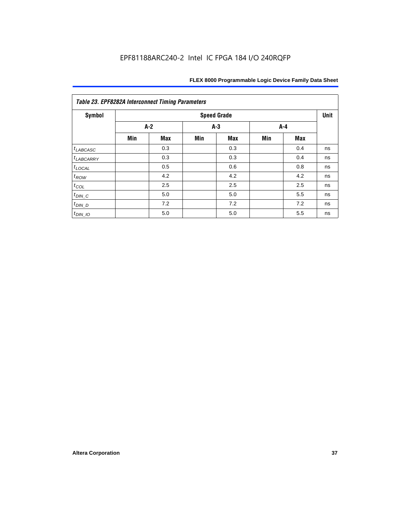| Table 23. EPF8282A Interconnect Timing Parameters |     |                    |     |            |     |     |    |  |  |  |
|---------------------------------------------------|-----|--------------------|-----|------------|-----|-----|----|--|--|--|
| Symbol                                            |     | <b>Speed Grade</b> |     |            |     |     |    |  |  |  |
|                                                   |     | $A-3$<br>$A-2$     |     |            |     | A-4 |    |  |  |  |
|                                                   | Min | <b>Max</b>         | Min | <b>Max</b> | Min | Max |    |  |  |  |
| $t_{LABCASC}$                                     |     | 0.3                |     | 0.3        |     | 0.4 | ns |  |  |  |
| <sup>t</sup> LABCARRY                             |     | 0.3                |     | 0.3        |     | 0.4 | ns |  |  |  |
| $t_{\text{LOCAL}}$                                |     | 0.5                |     | 0.6        |     | 0.8 | ns |  |  |  |
| $t_{ROW}$                                         |     | 4.2                |     | 4.2        |     | 4.2 | ns |  |  |  |
| $t_{COL}$                                         |     | 2.5                |     | 2.5        |     | 2.5 | ns |  |  |  |
| $t_{DIN\_C}$                                      |     | 5.0                |     | 5.0        |     | 5.5 | ns |  |  |  |
| $t_{DIN\_D}$                                      |     | 7.2                |     | 7.2        |     | 7.2 | ns |  |  |  |
| $t_{DIN\_IO}$                                     |     | 5.0                |     | 5.0        |     | 5.5 | ns |  |  |  |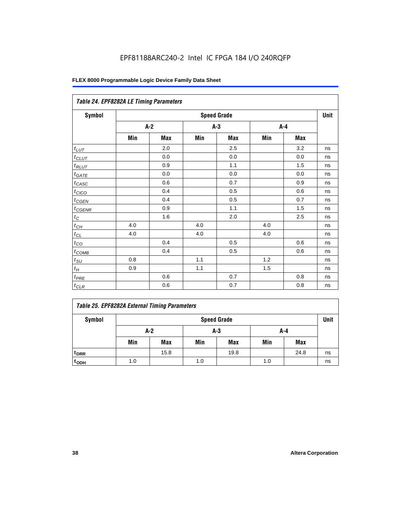| Table 24. EPF8282A LE Timing Parameters |     |            |     |                    |     |     |             |  |  |
|-----------------------------------------|-----|------------|-----|--------------------|-----|-----|-------------|--|--|
| Symbol                                  |     |            |     | <b>Speed Grade</b> |     |     | <b>Unit</b> |  |  |
|                                         |     | $A-2$      |     | $A-3$              |     | A-4 |             |  |  |
|                                         | Min | <b>Max</b> | Min | Max                | Min | Max |             |  |  |
| $t_{LUT}$                               |     | 2.0        |     | 2.5                |     | 3.2 | ns          |  |  |
| $t$ CLUT                                |     | 0.0        |     | 0.0                |     | 0.0 | ns          |  |  |
| $t_{RLUT}$                              |     | 0.9        |     | 1.1                |     | 1.5 | ns          |  |  |
| $t_{GATE}$                              |     | 0.0        |     | 0.0                |     | 0.0 | ns          |  |  |
| $t_{\mathsf{CASC}}$                     |     | 0.6        |     | 0.7                |     | 0.9 | ns          |  |  |
| $t_{CICO}$                              |     | 0.4        |     | 0.5                |     | 0.6 | ns          |  |  |
| $t_{CGEN}$                              |     | 0.4        |     | 0.5                |     | 0.7 | ns          |  |  |
| $t_{CGENR}$                             |     | 0.9        |     | 1.1                |     | 1.5 | ns          |  |  |
| $t_C$                                   |     | 1.6        |     | 2.0                |     | 2.5 | ns          |  |  |
| $t_{C\underline{H}}$                    | 4.0 |            | 4.0 |                    | 4.0 |     | ns          |  |  |
| $t_{CL}$                                | 4.0 |            | 4.0 |                    | 4.0 |     | ns          |  |  |
| $t_{CQ}$                                |     | 0.4        |     | 0.5                |     | 0.6 | ns          |  |  |
| $t_{COMB}$                              |     | 0.4        |     | 0.5                |     | 0.6 | ns          |  |  |
| $t_{\text{SU}}$                         | 0.8 |            | 1.1 |                    | 1.2 |     | ns          |  |  |
| $t_H$                                   | 0.9 |            | 1.1 |                    | 1.5 |     | ns          |  |  |
| $t_{PRE}$                               |     | 0.6        |     | 0.7                |     | 0.8 | ns          |  |  |
| $t_{CLR}$                               |     | 0.6        |     | 0.7                |     | 0.8 | ns          |  |  |

|  |  | <b>Table 25. EPF8282A External Timing Parameters</b> |
|--|--|------------------------------------------------------|
|  |  |                                                      |

| Symbol           | <b>Speed Grade</b> |            |     |            |     |            |    |  |
|------------------|--------------------|------------|-----|------------|-----|------------|----|--|
|                  |                    | A-2<br>A-3 |     |            | A-4 |            |    |  |
|                  | Min                | Max        | Min | <b>Max</b> | Min | <b>Max</b> |    |  |
| <sup>t</sup> DRR |                    | 15.8       |     | 19.8       |     | 24.8       | ns |  |
| t <sub>ODH</sub> | 1.0                |            | 1.0 |            | 1.0 |            | ns |  |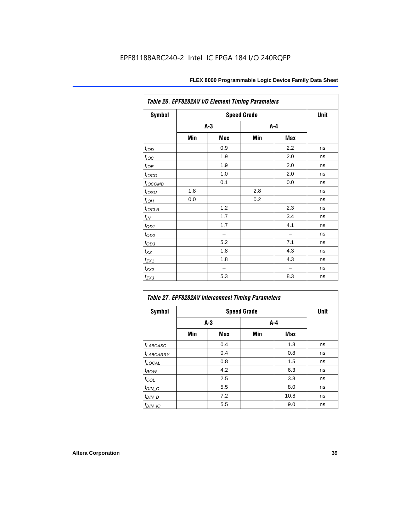| Table 26. EPF8282AV I/O Element Timing Parameters |     |       |                    |       |      |  |  |
|---------------------------------------------------|-----|-------|--------------------|-------|------|--|--|
| <b>Symbol</b>                                     |     |       | <b>Speed Grade</b> |       | Unit |  |  |
|                                                   |     | $A-3$ |                    | $A-4$ |      |  |  |
|                                                   | Min | Max   | Min                | Max   |      |  |  |
| t <sub>IOD</sub>                                  |     | 0.9   |                    | 2.2   | ns   |  |  |
| $t_{\text{loc}}$                                  |     | 1.9   |                    | 2.0   | ns   |  |  |
| $t_{IOE}$                                         |     | 1.9   |                    | 2.0   | ns   |  |  |
| $t_{IOCO}$                                        |     | 1.0   |                    | 2.0   | ns   |  |  |
| t <sub>IОСОМВ</sub>                               |     | 0.1   |                    | 0.0   | ns   |  |  |
| $t_{IOSU}$                                        | 1.8 |       | 2.8                |       | ns   |  |  |
| $t_{IOH}$                                         | 0.0 |       | 0.2                |       | ns   |  |  |
| $t_{IOCLR}$                                       |     | 1.2   |                    | 2.3   | ns   |  |  |
| $t_{IN}$                                          |     | 1.7   |                    | 3.4   | ns   |  |  |
| $t_{\text{OD1}}$                                  |     | 1.7   |                    | 4.1   | ns   |  |  |
| $t_{\text{OD2}}$                                  |     |       |                    |       | ns   |  |  |
| $t_{OD3}$                                         |     | 5.2   |                    | 7.1   | ns   |  |  |
| $t_{XZ}$                                          |     | 1.8   |                    | 4.3   | ns   |  |  |
| $t_{ZX1}$                                         |     | 1.8   |                    | 4.3   | ns   |  |  |
| $t_{ZX2}$                                         |     |       |                    |       | ns   |  |  |
| $t_{ZX3}$                                         |     | 5.3   |                    | 8.3   | ns   |  |  |

| Table 27. EPF8282AV Interconnect Timing Parameters |     |       |     |       |    |  |  |  |  |
|----------------------------------------------------|-----|-------|-----|-------|----|--|--|--|--|
| <b>Symbol</b>                                      |     | Unit  |     |       |    |  |  |  |  |
|                                                    |     | $A-3$ |     | $A-4$ |    |  |  |  |  |
|                                                    | Min | Max   | Min | Max   |    |  |  |  |  |
| $t_{LABCASC}$                                      |     | 0.4   |     | 1.3   | ns |  |  |  |  |
| t <sub>LABCARRY</sub>                              |     | 0.4   |     | 0.8   | ns |  |  |  |  |
| $t_{\text{LOCAL}}$                                 |     | 0.8   |     | 1.5   | ns |  |  |  |  |
| $t_{ROW}$                                          |     | 4.2   |     | 6.3   | ns |  |  |  |  |
| $t_{COL}$                                          |     | 2.5   |     | 3.8   | ns |  |  |  |  |
| $t_{DI\underline{N}C}$                             |     | 5.5   |     | 8.0   | ns |  |  |  |  |
| $t_{DIN\_D}$                                       |     | 7.2   |     | 10.8  | ns |  |  |  |  |
| $t_{DIN\_IO}$                                      |     | 5.5   |     | 9.0   | ns |  |  |  |  |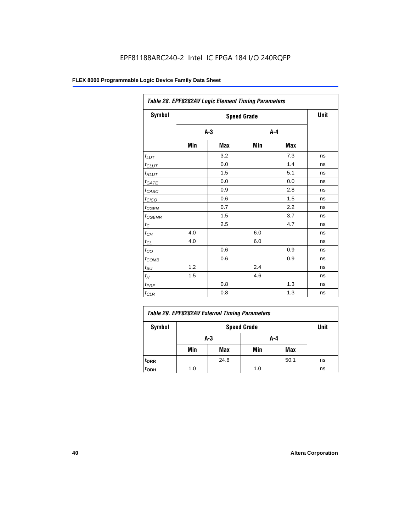|                    | Table 28. EPF8282AV Logic Element Timing Parameters |      |         |       |    |  |  |  |
|--------------------|-----------------------------------------------------|------|---------|-------|----|--|--|--|
| Symbol             |                                                     | Unit |         |       |    |  |  |  |
|                    | $A-3$                                               |      | $A - 4$ |       |    |  |  |  |
|                    | Min                                                 | Max  | Min     | Max   |    |  |  |  |
| $t_{LUT}$          |                                                     | 3.2  |         | 7.3   | ns |  |  |  |
| $t_{CLUT}$         |                                                     | 0.0  |         | 1.4   | ns |  |  |  |
| $t_{RLUT}$         |                                                     | 1.5  |         | 5.1   | ns |  |  |  |
| $t_{GATE}$         |                                                     | 0.0  |         | 0.0   | ns |  |  |  |
| $t_{CASC}$         |                                                     | 0.9  |         | 2.8   | ns |  |  |  |
| $t_{CICO}$         |                                                     | 0.6  |         | 1.5   | ns |  |  |  |
| $t_{CGEN}$         |                                                     | 0.7  |         | 2.2   | ns |  |  |  |
| $t_{\text{CGENR}}$ |                                                     | 1.5  |         | 3.7   | ns |  |  |  |
| $t_C$              |                                                     | 2.5  |         | 4.7   | ns |  |  |  |
| $t_{CH}$           | 4.0                                                 |      | 6.0     |       | ns |  |  |  |
| $t_{CL}$           | 4.0                                                 |      | 6.0     |       | ns |  |  |  |
| $t_{CO}$           |                                                     | 0.6  |         | 0.9   | ns |  |  |  |
| $t_{COMB}$         |                                                     | 0.6  |         | 0.9   | ns |  |  |  |
| $t_{\text{SU}}$    | 1.2                                                 |      | 2.4     |       | ns |  |  |  |
| $t_H$              | 1.5                                                 |      | 4.6     |       | ns |  |  |  |
| $t_{PRE}$          |                                                     | 0.8  |         | $1.3$ | ns |  |  |  |
| $t_{\text{CLR}}$   |                                                     | 0.8  |         | 1.3   | ns |  |  |  |

| Table 29. EPF8282AV External Timing Parameters |     |                    |     |      |    |  |  |  |
|------------------------------------------------|-----|--------------------|-----|------|----|--|--|--|
| Symbol                                         |     | <b>Speed Grade</b> |     |      |    |  |  |  |
|                                                |     | A-3                | A-4 |      |    |  |  |  |
|                                                | Min | Max                | Min | Max  |    |  |  |  |
| <sup>t</sup> DRR                               |     | 24.8               |     | 50.1 | ns |  |  |  |
| toph                                           | 1.0 |                    | 1.0 |      | ns |  |  |  |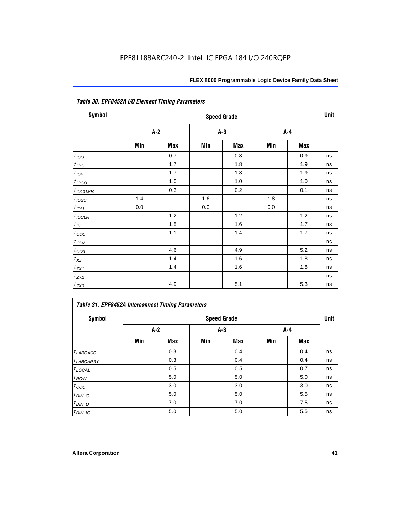| Table 30. EPF8452A I/O Element Timing Parameters |     |                          |     |                          |     |                          |    |  |  |  |
|--------------------------------------------------|-----|--------------------------|-----|--------------------------|-----|--------------------------|----|--|--|--|
| <b>Symbol</b>                                    |     | <b>Speed Grade</b>       |     |                          |     |                          |    |  |  |  |
|                                                  |     | $A-2$                    |     | $A-3$                    |     | $A-4$                    |    |  |  |  |
|                                                  | Min | Max                      | Min | Max                      | Min | Max                      |    |  |  |  |
| t <sub>IOD</sub>                                 |     | 0.7                      |     | 0.8                      |     | 0.9                      | ns |  |  |  |
| $t_{\text{IOC}}$                                 |     | 1.7                      |     | 1.8                      |     | 1.9                      | ns |  |  |  |
| $t_{IOE}$                                        |     | 1.7                      |     | 1.8                      |     | 1.9                      | ns |  |  |  |
| $t_{IOCO}$                                       |     | 1.0                      |     | 1.0                      |     | 1.0                      | ns |  |  |  |
| $t_{IOCOMB}$                                     |     | 0.3                      |     | 0.2                      |     | 0.1                      | ns |  |  |  |
| $t_{IOSU}$                                       | 1.4 |                          | 1.6 |                          | 1.8 |                          | ns |  |  |  |
| $t_{IOH}$                                        | 0.0 |                          | 0.0 |                          | 0.0 |                          | ns |  |  |  |
| $t_{IOCLR}$                                      |     | 1.2                      |     | 1.2                      |     | 1.2                      | ns |  |  |  |
| $t_{I\!N}$                                       |     | 1.5                      |     | 1.6                      |     | 1.7                      | ns |  |  |  |
| $t_{OD1}$                                        |     | 1.1                      |     | 1.4                      |     | 1.7                      | ns |  |  |  |
| $t_{OD2}$                                        |     | $\overline{\phantom{0}}$ |     | $\overline{\phantom{0}}$ |     | $\overline{\phantom{0}}$ | ns |  |  |  |
| $t_{OD3}$                                        |     | 4.6                      |     | 4.9                      |     | 5.2                      | ns |  |  |  |
| $t_{XZ}$                                         |     | 1.4                      |     | 1.6                      |     | 1.8                      | ns |  |  |  |
| $t_{ZX1}$                                        |     | 1.4                      |     | 1.6                      |     | 1.8                      | ns |  |  |  |
| $t_{ZX2}$                                        |     | $\qquad \qquad -$        |     | $\overline{\phantom{0}}$ |     | $\overline{\phantom{0}}$ | ns |  |  |  |
| $t_{ZX3}$                                        |     | 4.9                      |     | 5.1                      |     | 5.3                      | ns |  |  |  |

### *Table 31. EPF8452A Interconnect Timing Parameters*

| Symbol                | <b>Speed Grade</b> |            |       |     |     |       |    |  |
|-----------------------|--------------------|------------|-------|-----|-----|-------|----|--|
|                       | A-2                |            | $A-3$ |     |     | $A-4$ |    |  |
|                       | Min                | <b>Max</b> | Min   | Max | Min | Max   |    |  |
| $t_{LABCASC}$         |                    | 0.3        |       | 0.4 |     | 0.4   | ns |  |
| t <sub>LABCARRY</sub> |                    | 0.3        |       | 0.4 |     | 0.4   | ns |  |
| $t_{\text{LOCAL}}$    |                    | 0.5        |       | 0.5 |     | 0.7   | ns |  |
| $t_{ROW}$             |                    | 5.0        |       | 5.0 |     | 5.0   | ns |  |
| $t_{COL}$             |                    | 3.0        |       | 3.0 |     | 3.0   | ns |  |
| $t_{DIN\_C}$          |                    | 5.0        |       | 5.0 |     | 5.5   | ns |  |
| $t_{DIN\_D}$          |                    | 7.0        |       | 7.0 |     | 7.5   | ns |  |
| $t_{DIN\_IO}$         |                    | 5.0        |       | 5.0 |     | 5.5   | ns |  |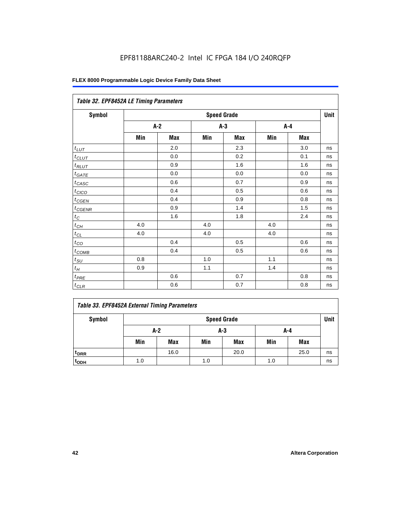| Table 32. EPF8452A LE Timing Parameters |     |       |     |                    |     |         |      |  |  |
|-----------------------------------------|-----|-------|-----|--------------------|-----|---------|------|--|--|
| <b>Symbol</b>                           |     |       |     | <b>Speed Grade</b> |     |         | Unit |  |  |
|                                         |     | $A-2$ |     | $A-3$              |     | $A-4$   |      |  |  |
|                                         | Min | Max   | Min | Max                | Min | Max     |      |  |  |
| $t_{LUT}$                               |     | 2.0   |     | 2.3                |     | 3.0     | ns   |  |  |
| $t_{CLUT}$                              |     | 0.0   |     | 0.2                |     | 0.1     | ns   |  |  |
| $t_{RLUT}$                              |     | 0.9   |     | 1.6                |     | 1.6     | ns   |  |  |
| $t_{\underline{GATE}}$                  |     | 0.0   |     | 0.0                |     | 0.0     | ns   |  |  |
| $t_{CASC}$                              |     | 0.6   |     | 0.7                |     | 0.9     | ns   |  |  |
| $t_{CICO}$                              |     | 0.4   |     | 0.5                |     | 0.6     | ns   |  |  |
| $t_{CGEN}$                              |     | 0.4   |     | 0.9                |     | 0.8     | ns   |  |  |
| $t_{CGENR}$                             |     | 0.9   |     | 1.4                |     | 1.5     | ns   |  |  |
| $t_C$                                   |     | 1.6   |     | 1.8                |     | 2.4     | ns   |  |  |
| $t_{\mathit{CH}}$                       | 4.0 |       | 4.0 |                    | 4.0 |         | ns   |  |  |
| $t_{\ensuremath{\text{CL}}}$            | 4.0 |       | 4.0 |                    | 4.0 |         | ns   |  |  |
| $t_{CQ}$                                |     | 0.4   |     | 0.5                |     | 0.6     | ns   |  |  |
| $t_{\text{COMB}}$                       |     | 0.4   |     | 0.5                |     | 0.6     | ns   |  |  |
| $t_{\text{S}\underline{U}}$             | 0.8 |       | 1.0 |                    | 1.1 |         | ns   |  |  |
| $t_H\,$                                 | 0.9 |       | 1.1 |                    | 1.4 |         | ns   |  |  |
| $t_{PRE}$                               |     | 0.6   |     | 0.7                |     | 0.8     | ns   |  |  |
| $t_{CLR}$                               |     | 0.6   |     | 0.7                |     | $0.8\,$ | ns   |  |  |

#### *Table 33. EPF8452A External Timing Parameters*

| Symbol                      |     | <b>Speed Grade</b> |     |            |     |            |    |  |  |  |
|-----------------------------|-----|--------------------|-----|------------|-----|------------|----|--|--|--|
|                             |     | A-2<br>$A-3$       |     |            |     | A-4        |    |  |  |  |
|                             | Min | Max                | Min | <b>Max</b> | Min | <b>Max</b> |    |  |  |  |
| <sup>t</sup> <sub>DRR</sub> |     | 16.0               |     | 20.0       |     | 25.0       | ns |  |  |  |
| t <sub>ODH</sub>            | 1.0 |                    | 1.0 |            | 1.0 |            | ns |  |  |  |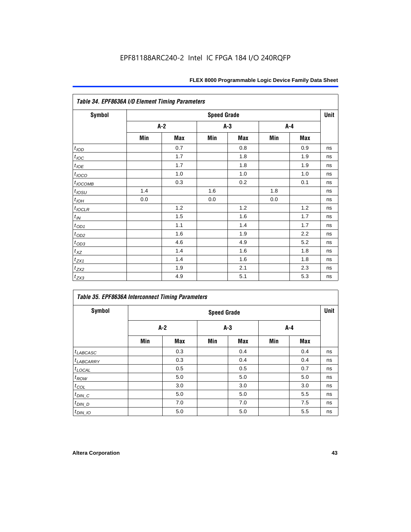| Table 34. EPF8636A I/O Element Timing Parameters |     |       |                    |       |     |         |      |  |
|--------------------------------------------------|-----|-------|--------------------|-------|-----|---------|------|--|
| <b>Symbol</b>                                    |     |       | <b>Speed Grade</b> |       |     |         | Unit |  |
|                                                  |     | $A-2$ |                    | $A-3$ |     | $A - 4$ |      |  |
|                                                  | Min | Max   | Min                | Max   | Min | Max     |      |  |
| $t_{IQD}$                                        |     | 0.7   |                    | 0.8   |     | 0.9     | ns   |  |
| $t_{\textit{IOC}}$                               |     | 1.7   |                    | 1.8   |     | 1.9     | ns   |  |
| $t_{IOE}$                                        |     | 1.7   |                    | 1.8   |     | 1.9     | ns   |  |
| $t_{IOCO}$                                       |     | 1.0   |                    | 1.0   |     | 1.0     | ns   |  |
| $t_{IOCOMB}$                                     |     | 0.3   |                    | 0.2   |     | 0.1     | ns   |  |
| $t_{IOSU}$                                       | 1.4 |       | 1.6                |       | 1.8 |         | ns   |  |
| $t_{IOH}$                                        | 0.0 |       | 0.0                |       | 0.0 |         | ns   |  |
| $t_{IOCLR}$                                      |     | 1.2   |                    | 1.2   |     | 1.2     | ns   |  |
| $t_{I\!N}$                                       |     | 1.5   |                    | 1.6   |     | 1.7     | ns   |  |
| $t_{OD1}$                                        |     | 1.1   |                    | 1.4   |     | 1.7     | ns   |  |
| $t_{\underline{OD2}}$                            |     | 1.6   |                    | 1.9   |     | 2.2     | ns   |  |
| $t_{OD3}$                                        |     | 4.6   |                    | 4.9   |     | 5.2     | ns   |  |
| $t_{XZ}$                                         |     | 1.4   |                    | 1.6   |     | 1.8     | ns   |  |
| $t_{ZX1}$                                        |     | 1.4   |                    | 1.6   |     | 1.8     | ns   |  |
| $t_{ZX2}$                                        |     | 1.9   |                    | 2.1   |     | 2.3     | ns   |  |
| $t_{ZX3}$                                        |     | 4.9   |                    | 5.1   |     | 5.3     | ns   |  |

| <b>Symbol</b>         |     |            | <b>Speed Grade</b> |       |     |            | Unit |
|-----------------------|-----|------------|--------------------|-------|-----|------------|------|
|                       |     | A-2        |                    | $A-3$ |     | A-4        |      |
|                       | Min | <b>Max</b> | Min                | Max   | Min | <b>Max</b> |      |
| $t_{LABCASC}$         |     | 0.3        |                    | 0.4   |     | 0.4        | ns   |
| t <sub>LABCARRY</sub> |     | 0.3        |                    | 0.4   |     | 0.4        | ns   |
| $t_{\text{LOCAL}}$    |     | 0.5        |                    | 0.5   |     | 0.7        | ns   |
| $t_{ROW}$             |     | 5.0        |                    | 5.0   |     | 5.0        | ns   |
| $t_{COL}$             |     | 3.0        |                    | 3.0   |     | 3.0        | ns   |
| $t_{DIN\_C}$          |     | 5.0        |                    | 5.0   |     | 5.5        | ns   |
| $t_{DIN\_D}$          |     | 7.0        |                    | 7.0   |     | 7.5        | ns   |
| $t_{DIN\_IO}$         |     | 5.0        |                    | 5.0   |     | 5.5        | ns   |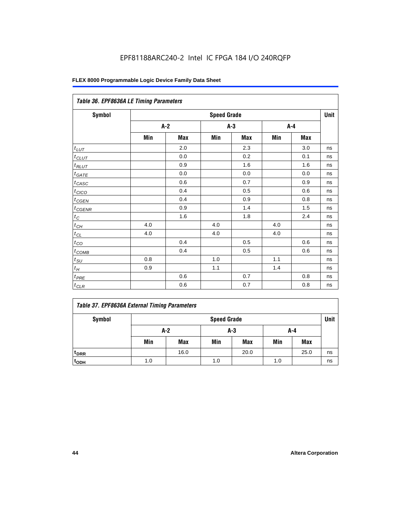| Table 36. EPF8636A LE Timing Parameters |     |       |                    |       |     |         |      |  |
|-----------------------------------------|-----|-------|--------------------|-------|-----|---------|------|--|
| Symbol                                  |     |       | <b>Speed Grade</b> |       |     |         | Unit |  |
|                                         |     | $A-2$ |                    | $A-3$ |     | $A - 4$ |      |  |
|                                         | Min | Max   | Min                | Max   | Min | Max     |      |  |
| $t_{LUT}$                               |     | 2.0   |                    | 2.3   |     | 3.0     | ns   |  |
| $t_{CLUT}$                              |     | 0.0   |                    | 0.2   |     | 0.1     | ns   |  |
| $t_{RLUT}$                              |     | 0.9   |                    | 1.6   |     | 1.6     | ns   |  |
| $t_{GATE}$                              |     | 0.0   |                    | 0.0   |     | 0.0     | ns   |  |
| $t_{CASC}$                              |     | 0.6   |                    | 0.7   |     | 0.9     | ns   |  |
| t <sub>CICO</sub>                       |     | 0.4   |                    | 0.5   |     | 0.6     | ns   |  |
| $t_{GEN}$                               |     | 0.4   |                    | 0.9   |     | 0.8     | ns   |  |
| $t_{CGENR}$                             |     | 0.9   |                    | 1.4   |     | 1.5     | ns   |  |
| $t_C$                                   |     | 1.6   |                    | 1.8   |     | 2.4     | ns   |  |
| $t_{CH}$                                | 4.0 |       | 4.0                |       | 4.0 |         | ns   |  |
| $t_{CL}$                                | 4.0 |       | 4.0                |       | 4.0 |         | ns   |  |
| $t_{CO}$                                |     | 0.4   |                    | 0.5   |     | 0.6     | ns   |  |
| $t_{\text{COMB}}$                       |     | 0.4   |                    | 0.5   |     | 0.6     | ns   |  |
| $t_{\textit{SU}}$                       | 0.8 |       | 1.0                |       | 1.1 |         | ns   |  |
| $t_H$                                   | 0.9 |       | 1.1                |       | 1.4 |         | ns   |  |
| $t_{PRE}$                               |     | 0.6   |                    | 0.7   |     | 0.8     | ns   |  |
| $t_{CLR}$                               |     | 0.6   |                    | 0.7   |     | 0.8     | ns   |  |

#### *Table 37. EPF8636A External Timing Parameters*

| Symbol           |       | <b>Speed Grade</b> |     |            |     |      |    |  |  |  |
|------------------|-------|--------------------|-----|------------|-----|------|----|--|--|--|
|                  | $A-2$ |                    |     | $A-3$      | A-4 |      |    |  |  |  |
|                  | Min   | <b>Max</b>         | Min | <b>Max</b> | Min | Max  |    |  |  |  |
| t <sub>DRR</sub> |       | 16.0               |     | 20.0       |     | 25.0 | ns |  |  |  |
| t <sub>ODH</sub> | 1.0   |                    | 1.0 |            | 1.0 |      | ns |  |  |  |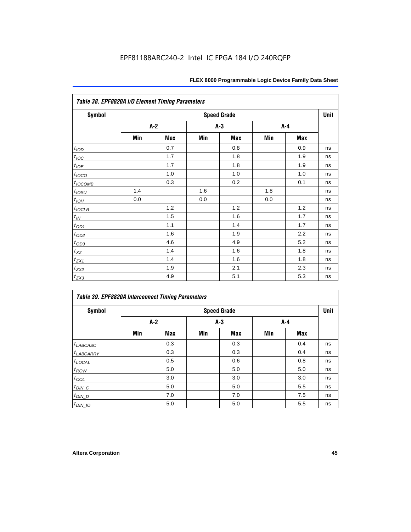| FLEX 8000 Programmable Logic Device Family Data Sheet |  |
|-------------------------------------------------------|--|
|                                                       |  |

| Table 38. EPF8820A I/O Element Timing Parameters |     |     |     |                    |     |            |      |  |
|--------------------------------------------------|-----|-----|-----|--------------------|-----|------------|------|--|
| <b>Symbol</b>                                    |     |     |     | <b>Speed Grade</b> |     |            | Unit |  |
|                                                  |     | A-2 |     | $A-3$              |     | A-4        |      |  |
|                                                  | Min | Max | Min | Max                | Min | <b>Max</b> |      |  |
| t <sub>IOD</sub>                                 |     | 0.7 |     | 0.8                |     | 0.9        | ns   |  |
| $t_{\text{IOC}}$                                 |     | 1.7 |     | 1.8                |     | 1.9        | ns   |  |
| $t_{IOE}$                                        |     | 1.7 |     | 1.8                |     | 1.9        | ns   |  |
| $t_{IOCO}$                                       |     | 1.0 |     | 1.0                |     | 1.0        | ns   |  |
| $t_{IOCOMB}$                                     |     | 0.3 |     | 0.2                |     | 0.1        | ns   |  |
| $t_{IOSU}$                                       | 1.4 |     | 1.6 |                    | 1.8 |            | ns   |  |
| $t_{IOH}$                                        | 0.0 |     | 0.0 |                    | 0.0 |            | ns   |  |
| $t_{IOCLR}$                                      |     | 1.2 |     | 1.2                |     | 1.2        | ns   |  |
| $t_{I\!N}$                                       |     | 1.5 |     | 1.6                |     | 1.7        | ns   |  |
| $t_{\text{OD1}}$                                 |     | 1.1 |     | 1.4                |     | 1.7        | ns   |  |
| $t_{OD2}$                                        |     | 1.6 |     | 1.9                |     | 2.2        | ns   |  |
| $t_{OD3}$                                        |     | 4.6 |     | 4.9                |     | 5.2        | ns   |  |
| $t_{\text{XZ}}$                                  |     | 1.4 |     | 1.6                |     | 1.8        | ns   |  |
| $t_{ZX1}$                                        |     | 1.4 |     | 1.6                |     | 1.8        | ns   |  |
| $t_{ZX2}$                                        |     | 1.9 |     | 2.1                |     | 2.3        | ns   |  |
| $t_{ZX3}$                                        |     | 4.9 |     | 5.1                |     | 5.3        | ns   |  |

| Table 39. EPF8820A Interconnect Timing Parameters |     |            |     |                    |     |       |      |  |
|---------------------------------------------------|-----|------------|-----|--------------------|-----|-------|------|--|
| Symbol                                            |     |            |     | <b>Speed Grade</b> |     |       | Unit |  |
|                                                   |     | $A-2$      |     | $A-3$              |     | $A-4$ |      |  |
|                                                   | Min | <b>Max</b> | Min | <b>Max</b>         | Min | Max   |      |  |
| $t_{LABCASC}$                                     |     | 0.3        |     | 0.3                |     | 0.4   | ns   |  |
| $t_{LABCARRY}$                                    |     | 0.3        |     | 0.3                |     | 0.4   | ns   |  |
| $t_{\text{LOCAL}}$                                |     | 0.5        |     | 0.6                |     | 0.8   | ns   |  |
| $t_{\mathit{ROW}}$                                |     | 5.0        |     | 5.0                |     | 5.0   | ns   |  |
| $t_{COL}$                                         |     | 3.0        |     | 3.0                |     | 3.0   | ns   |  |
| $t_{DIN\_C}$                                      |     | 5.0        |     | 5.0                |     | 5.5   | ns   |  |
| $t_{DIN}$ D                                       |     | 7.0        |     | 7.0                |     | 7.5   | ns   |  |
| $t_{DIN}$ 10                                      |     | 5.0        |     | 5.0                |     | 5.5   | ns   |  |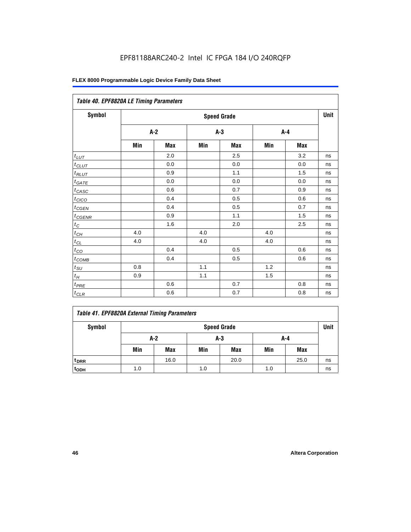| Table 40. EPF8820A LE Timing Parameters |     |         |     |                    |     |         |      |  |
|-----------------------------------------|-----|---------|-----|--------------------|-----|---------|------|--|
| Symbol                                  |     |         |     | <b>Speed Grade</b> |     |         | Unit |  |
|                                         |     | $A-2$   |     | $A-3$              |     | $A - 4$ |      |  |
|                                         | Min | Max     | Min | Max                | Min | Max     |      |  |
| $t_{LUT}$                               |     | 2.0     |     | 2.5                |     | 3.2     | ns   |  |
| $t_{CLUT}$                              |     | 0.0     |     | 0.0                |     | 0.0     | ns   |  |
| $t_{RLUT}$                              |     | 0.9     |     | 1.1                |     | 1.5     | ns   |  |
| $t_{GATE}$                              |     | 0.0     |     | 0.0                |     | 0.0     | ns   |  |
| $t_{CASC}$                              |     | 0.6     |     | 0.7                |     | 0.9     | ns   |  |
| $t_{CICO}$                              |     | 0.4     |     | 0.5                |     | 0.6     | ns   |  |
| $t_{CGEN}$                              |     | 0.4     |     | 0.5                |     | 0.7     | ns   |  |
| $t_{CGENR}$                             |     | 0.9     |     | 1.1                |     | 1.5     | ns   |  |
| $t_C$                                   |     | 1.6     |     | 2.0                |     | 2.5     | ns   |  |
| $t_{CH}$                                | 4.0 |         | 4.0 |                    | 4.0 |         | ns   |  |
| $t_{CL}$                                | 4.0 |         | 4.0 |                    | 4.0 |         | ns   |  |
| $t_{CO}$                                |     | 0.4     |     | 0.5                |     | 0.6     | ns   |  |
| $t_{\text{COMB}}$                       |     | 0.4     |     | 0.5                |     | 0.6     | ns   |  |
| $t_{\rm SU}$                            | 0.8 |         | 1.1 |                    | 1.2 |         | ns   |  |
| $t_H\,$                                 | 0.9 |         | 1.1 |                    | 1.5 |         | ns   |  |
| $t_{PRE}$                               |     | 0.6     |     | 0.7                |     | 0.8     | ns   |  |
| $t_{CLR}$                               |     | $0.6\,$ |     | 0.7                |     | 0.8     | ns   |  |

| Table 41. EPF8820A External Timing Parameters |
|-----------------------------------------------|
|-----------------------------------------------|

| Symbol           |     | <b>Speed Grade</b> |     |            |     |            |    |  |
|------------------|-----|--------------------|-----|------------|-----|------------|----|--|
|                  |     | A-2                |     | A-3        | A-4 |            |    |  |
|                  | Min | <b>Max</b>         | Min | <b>Max</b> | Min | <b>Max</b> |    |  |
| t <sub>DRR</sub> |     | 16.0               |     | 20.0       |     | 25.0       | ns |  |
| t <sub>ODH</sub> | 1.0 |                    | 1.0 |            | 1.0 |            | ns |  |

r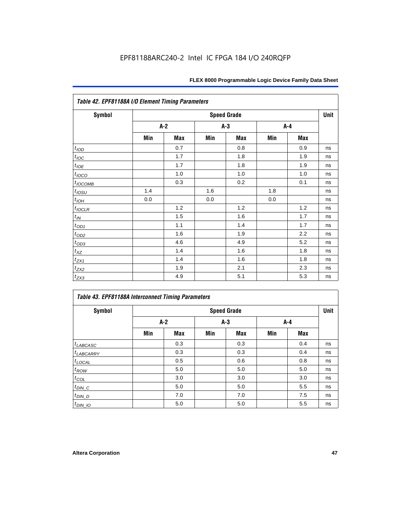| FLEX 8000 Programmable Logic Device Family Data Sheet |  |  |
|-------------------------------------------------------|--|--|
|                                                       |  |  |

| Table 42. EPF81188A I/O Element Timing Parameters |     |       |     |                    |     |       |      |  |
|---------------------------------------------------|-----|-------|-----|--------------------|-----|-------|------|--|
| <b>Symbol</b>                                     |     |       |     | <b>Speed Grade</b> |     |       | Unit |  |
|                                                   |     | $A-2$ |     | $A-3$              |     | $A-4$ |      |  |
|                                                   | Min | Max   | Min | Max                | Min | Max   |      |  |
| t <sub>IOD</sub>                                  |     | 0.7   |     | 0.8                |     | 0.9   | ns   |  |
| $t_{\text{IOC}}$                                  |     | 1.7   |     | 1.8                |     | 1.9   | ns   |  |
| $t_{IOE}$                                         |     | 1.7   |     | 1.8                |     | 1.9   | ns   |  |
| $t_{IOCO}$                                        |     | 1.0   |     | 1.0                |     | 1.0   | ns   |  |
| $t_{IOCOMB}$                                      |     | 0.3   |     | 0.2                |     | 0.1   | ns   |  |
| $t_{IOSU}$                                        | 1.4 |       | 1.6 |                    | 1.8 |       | ns   |  |
| $t_{IOL}$                                         | 0.0 |       | 0.0 |                    | 0.0 |       | ns   |  |
| $t_{IOCLR}$                                       |     | 1.2   |     | 1.2                |     | 1.2   | ns   |  |
| $t_{I\!N}$                                        |     | 1.5   |     | 1.6                |     | 1.7   | ns   |  |
| $t_{OD1}$                                         |     | 1.1   |     | 1.4                |     | 1.7   | ns   |  |
| $t_{OD2}$                                         |     | 1.6   |     | 1.9                |     | 2.2   | ns   |  |
| $t_{OD3}$                                         |     | 4.6   |     | 4.9                |     | 5.2   | ns   |  |
| $t_{X\!Z}$                                        |     | 1.4   |     | 1.6                |     | 1.8   | ns   |  |
| $t_{ZX1}$                                         |     | 1.4   |     | 1.6                |     | 1.8   | ns   |  |
| $t_{ZX2}$                                         |     | 1.9   |     | 2.1                |     | 2.3   | ns   |  |
| $t_{ZX3}$                                         |     | 4.9   |     | 5.1                |     | 5.3   | ns   |  |

| <b>Table 43. EPF81188A Interconnect Timing Parameters</b> |     |       |     |                    |     |            |      |
|-----------------------------------------------------------|-----|-------|-----|--------------------|-----|------------|------|
| Symbol                                                    |     |       |     | <b>Speed Grade</b> |     |            | Unit |
|                                                           |     | $A-2$ |     | $A-3$              |     | A-4        |      |
|                                                           | Min | Max   | Min | Max                | Min | <b>Max</b> |      |
| $t_{LABCASC}$                                             |     | 0.3   |     | 0.3                |     | 0.4        | ns   |
| $t_{LABCARY}$                                             |     | 0.3   |     | 0.3                |     | 0.4        | ns   |
| $t_{\text{LOCAL}}$                                        |     | 0.5   |     | 0.6                |     | 0.8        | ns   |
| $t_{ROW}$                                                 |     | 5.0   |     | 5.0                |     | 5.0        | ns   |
| $t_{COL}$                                                 |     | 3.0   |     | 3.0                |     | 3.0        | ns   |
| $t_{DIN}$ $C$                                             |     | 5.0   |     | 5.0                |     | 5.5        | ns   |
| $t_{DIN\_D}$                                              |     | 7.0   |     | 7.0                |     | 7.5        | ns   |
| $t_{DIN}$ 10                                              |     | 5.0   |     | 5.0                |     | 5.5        | ns   |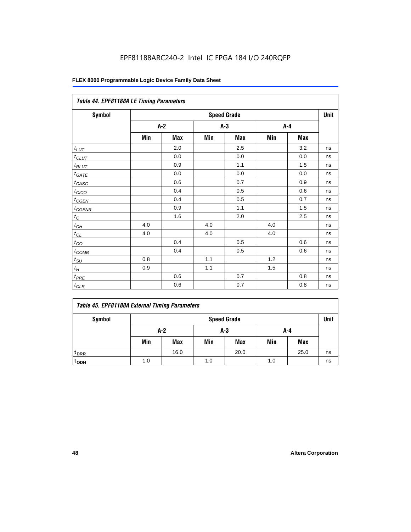| Table 44. EPF81188A LE Timing Parameters |     |       |     |                    |     |     |      |
|------------------------------------------|-----|-------|-----|--------------------|-----|-----|------|
| Symbol                                   |     |       |     | <b>Speed Grade</b> |     |     | Unit |
|                                          |     | $A-2$ |     | $A-3$              |     | A-4 |      |
|                                          | Min | Max   | Min | Max                | Min | Max |      |
| $t_{LUT}$                                |     | 2.0   |     | 2.5                |     | 3.2 | ns   |
| $t_{CLUT}$                               |     | 0.0   |     | 0.0                |     | 0.0 | ns   |
| $t_{RLUT}$                               |     | 0.9   |     | 1.1                |     | 1.5 | ns   |
| $t_{GATE}$                               |     | 0.0   |     | 0.0                |     | 0.0 | ns   |
| $t_{CASC}$                               |     | 0.6   |     | 0.7                |     | 0.9 | ns   |
| $t_{CICO}$                               |     | 0.4   |     | 0.5                |     | 0.6 | ns   |
| $t_{GEN}$                                |     | 0.4   |     | 0.5                |     | 0.7 | ns   |
| $t_{CGENR}$                              |     | 0.9   |     | 1.1                |     | 1.5 | ns   |
| $t_C$                                    |     | 1.6   |     | 2.0                |     | 2.5 | ns   |
| $t_{\mathit{CH}}$                        | 4.0 |       | 4.0 |                    | 4.0 |     | ns   |
| $t_{CL}$                                 | 4.0 |       | 4.0 |                    | 4.0 |     | ns   |
| $t_{CO}$                                 |     | 0.4   |     | 0.5                |     | 0.6 | ns   |
| $t_{\text{COMB}}$                        |     | 0.4   |     | 0.5                |     | 0.6 | ns   |
| $t_{SU}$                                 | 0.8 |       | 1.1 |                    | 1.2 |     | ns   |
| $t_H$                                    | 0.9 |       | 1.1 |                    | 1.5 |     | ns   |
| $t_{PRE}$                                |     | 0.6   |     | 0.7                |     | 0.8 | ns   |
| $t_{CLR}$                                |     | 0.6   |     | 0.7                |     | 0.8 | ns   |

|  |  |  |  | <b>Table 45. EPF81188A External Timing Parameters</b> |
|--|--|--|--|-------------------------------------------------------|
|--|--|--|--|-------------------------------------------------------|

| Symbol           | <b>Speed Grade</b> |            |     |            |     | Unit       |    |
|------------------|--------------------|------------|-----|------------|-----|------------|----|
|                  | A-2                |            | A-3 |            | A-4 |            |    |
|                  | Min                | <b>Max</b> | Min | <b>Max</b> | Min | <b>Max</b> |    |
| t <sub>DRR</sub> |                    | 16.0       |     | 20.0       |     | 25.0       | ns |
| t <sub>ODH</sub> | 1.0                |            | 1.0 |            | 1.0 |            | ns |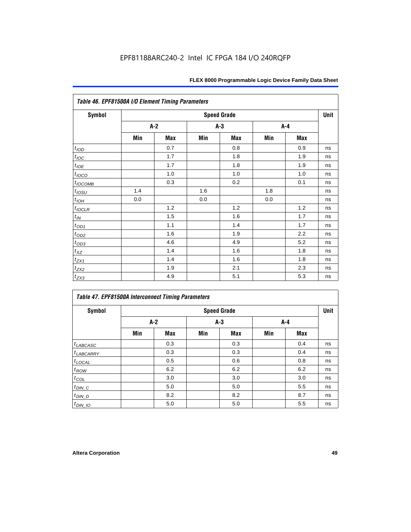| Table 46. EPF81500A I/O Element Timing Parameters |     |     |       |                    |     |       |      |
|---------------------------------------------------|-----|-----|-------|--------------------|-----|-------|------|
| <b>Symbol</b>                                     |     |     |       | <b>Speed Grade</b> |     |       | Unit |
|                                                   |     | A-2 | $A-3$ |                    |     | $A-4$ |      |
|                                                   | Min | Max | Min   | Max                | Min | Max   |      |
| $t_{\text{IOD}}$                                  |     | 0.7 |       | 0.8                |     | 0.9   | ns   |
| $t_{\text{IOC}}$                                  |     | 1.7 |       | 1.8                |     | 1.9   | ns   |
| $t_{IOE}$                                         |     | 1.7 |       | 1.8                |     | 1.9   | ns   |
| $t_{IOCO}$                                        |     | 1.0 |       | 1.0                |     | 1.0   | ns   |
| $t_{IOCOMB}$                                      |     | 0.3 |       | 0.2                |     | 0.1   | ns   |
| $t_{IQSU}$                                        | 1.4 |     | 1.6   |                    | 1.8 |       | ns   |
| $t_{IOH}$                                         | 0.0 |     | 0.0   |                    | 0.0 |       | ns   |
| $t_{IOCLR}$                                       |     | 1.2 |       | 1.2                |     | 1.2   | ns   |
| $t_{I\!N}$                                        |     | 1.5 |       | 1.6                |     | 1.7   | ns   |
| $t_{\text{OD1}}$                                  |     | 1.1 |       | 1.4                |     | 1.7   | ns   |
| $t_{OD2}$                                         |     | 1.6 |       | 1.9                |     | 2.2   | ns   |
| $t_{OD3}$                                         |     | 4.6 |       | 4.9                |     | 5.2   | ns   |
| $t_{XZ}$                                          |     | 1.4 |       | 1.6                |     | 1.8   | ns   |
| $t_{ZX1}$                                         |     | 1.4 |       | 1.6                |     | 1.8   | ns   |
| $t_{ZX2}$                                         |     | 1.9 |       | 2.1                |     | 2.3   | ns   |
| $t_{ZX3}$                                         |     | 4.9 |       | 5.1                |     | 5.3   | ns   |

| Symbol                |     |            |     | <b>Speed Grade</b> |     |            | Unit |
|-----------------------|-----|------------|-----|--------------------|-----|------------|------|
|                       |     | $A-2$      |     | $A-3$              |     | A-4        |      |
|                       | Min | <b>Max</b> | Min | Max                | Min | <b>Max</b> |      |
| $t_{LABCASC}$         |     | 0.3        |     | 0.3                |     | 0.4        | ns   |
| <sup>t</sup> LABCARRY |     | 0.3        |     | 0.3                |     | 0.4        | ns   |
| $t_{\text{LOCAL}}$    |     | 0.5        |     | 0.6                |     | 0.8        | ns   |
| $t_{ROW}$             |     | 6.2        |     | 6.2                |     | 6.2        | ns   |
| $t_{COL}$             |     | 3.0        |     | 3.0                |     | 3.0        | ns   |
| $t_{DIN\_C}$          |     | 5.0        |     | 5.0                |     | 5.5        | ns   |
| $t_{DIN\_D}$          |     | 8.2        |     | 8.2                |     | 8.7        | ns   |
| $t_{DIN\_IO}$         |     | 5.0        |     | 5.0                |     | 5.5        | ns   |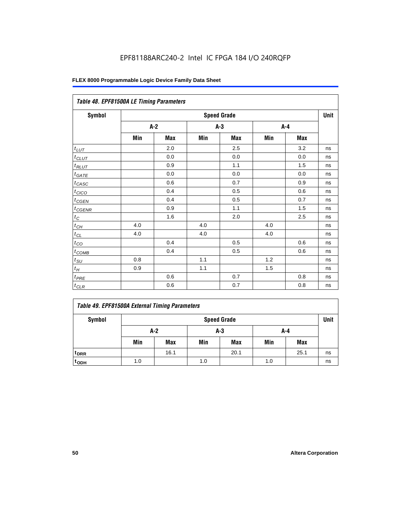| Table 48. EPF81500A LE Timing Parameters |     |            |     |                    |     |            |      |
|------------------------------------------|-----|------------|-----|--------------------|-----|------------|------|
| Symbol                                   |     |            |     | <b>Speed Grade</b> |     |            | Unit |
|                                          |     | $A-2$      |     | $A-3$              |     | A-4        |      |
|                                          | Min | <b>Max</b> | Min | Max                | Min | <b>Max</b> |      |
| $t_{LUT}$                                |     | 2.0        |     | 2.5                |     | 3.2        | ns   |
| $t_{CLUT}$                               |     | 0.0        |     | 0.0                |     | 0.0        | ns   |
| $t_{RLUT}$                               |     | 0.9        |     | 1.1                |     | 1.5        | ns   |
| $t_{GATE}$                               |     | 0.0        |     | 0.0                |     | 0.0        | ns   |
| $t_{CASC}$                               |     | 0.6        |     | 0.7                |     | 0.9        | ns   |
| $t_{CICO}$                               |     | 0.4        |     | 0.5                |     | 0.6        | ns   |
| $t_{CGEN}$                               |     | 0.4        |     | 0.5                |     | 0.7        | ns   |
| $t_{CGENR}$                              |     | 0.9        |     | 1.1                |     | 1.5        | ns   |
| $t_C$                                    |     | 1.6        |     | 2.0                |     | 2.5        | ns   |
| $t_{CH}$                                 | 4.0 |            | 4.0 |                    | 4.0 |            | ns   |
| $t_{CL}$                                 | 4.0 |            | 4.0 |                    | 4.0 |            | ns   |
| $t_{CO}$                                 |     | 0.4        |     | 0.5                |     | 0.6        | ns   |
| $t_{\text{COMB}}$                        |     | 0.4        |     | 0.5                |     | 0.6        | ns   |
| $t_{SU}$                                 | 0.8 |            | 1.1 |                    | 1.2 |            | ns   |
| $t_H$                                    | 0.9 |            | 1.1 |                    | 1.5 |            | ns   |
| $t_{PRE}$                                |     | 0.6        |     | 0.7                |     | 0.8        | ns   |
| $t_{CLR}$                                |     | 0.6        |     | 0.7                |     | 0.8        | ns   |

|  |  |  |  | <b>Table 49. EPF81500A External Timing Parameters</b> |
|--|--|--|--|-------------------------------------------------------|
|--|--|--|--|-------------------------------------------------------|

| Symbol             | <b>Speed Grade</b> |            |     |            | Unit |            |    |
|--------------------|--------------------|------------|-----|------------|------|------------|----|
|                    | A-2                |            | A-3 |            |      | A-4        |    |
|                    | Min                | <b>Max</b> | Min | <b>Max</b> | Min  | <b>Max</b> |    |
| t <sub>DRR</sub>   |                    | 16.1       |     | 20.1       |      | 25.1       | ns |
| $t$ <sub>ODH</sub> | 1.0                |            | 1.0 |            | 1.0  |            | ns |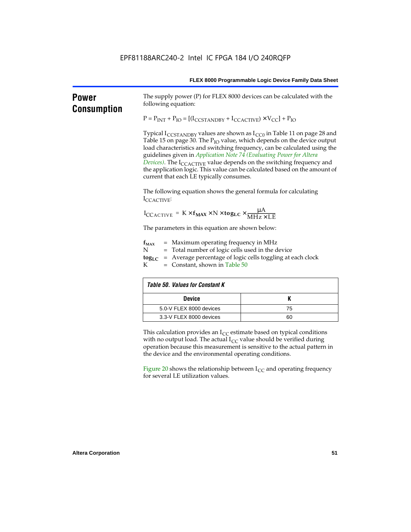| FLEX 8000 Programmable Logic Device Family Data Sheet |  |  |
|-------------------------------------------------------|--|--|
|-------------------------------------------------------|--|--|

| <b>Power</b><br><b>Consumption</b> | The supply power (P) for FLEX 8000 devices can be calculated with the<br>following equation:                                                                                                                                                                                                                                                                                                                                                                                                                                                            |    |  |  |  |  |
|------------------------------------|---------------------------------------------------------------------------------------------------------------------------------------------------------------------------------------------------------------------------------------------------------------------------------------------------------------------------------------------------------------------------------------------------------------------------------------------------------------------------------------------------------------------------------------------------------|----|--|--|--|--|
|                                    | $P = P_{INT} + P_{IO} = [(I_{CCSTANDBY} + I_{CCACTIVE}) \times V_{CC}] + P_{IO}$                                                                                                                                                                                                                                                                                                                                                                                                                                                                        |    |  |  |  |  |
|                                    | Typical $I_{\text{CCSTANDBY}}$ values are shown as $I_{\text{CC0}}$ in Table 11 on page 28 and<br>Table 15 on page 30. The P <sub>IO</sub> value, which depends on the device output<br>load characteristics and switching frequency, can be calculated using the<br>guidelines given in Application Note 74 (Evaluating Power for Altera<br>Devices). The I <sub>CCACTIVE</sub> value depends on the switching frequency and<br>the application logic. This value can be calculated based on the amount of<br>current that each LE typically consumes. |    |  |  |  |  |
|                                    | The following equation shows the general formula for calculating<br>ICCACTIVE:                                                                                                                                                                                                                                                                                                                                                                                                                                                                          |    |  |  |  |  |
|                                    | $I_{\text{CCACTIVE}} = K \times f_{\text{MAX}} \times N \times \text{tog}_{\text{LC}} \times \frac{\mu A}{\text{MHz} \times \text{LE}}$                                                                                                                                                                                                                                                                                                                                                                                                                 |    |  |  |  |  |
|                                    | The parameters in this equation are shown below:                                                                                                                                                                                                                                                                                                                                                                                                                                                                                                        |    |  |  |  |  |
|                                    | $=$ Maximum operating frequency in MHz<br>$f_{MAX}$<br>= Total number of logic cells used in the device<br>Ν<br>= Average percentage of logic cells toggling at each clock<br>$\log_{LC}$<br>К<br>$=$ Constant, shown in Table 50                                                                                                                                                                                                                                                                                                                       |    |  |  |  |  |
|                                    | <b>Table 50. Values for Constant K</b>                                                                                                                                                                                                                                                                                                                                                                                                                                                                                                                  |    |  |  |  |  |
|                                    | <b>Device</b>                                                                                                                                                                                                                                                                                                                                                                                                                                                                                                                                           | K  |  |  |  |  |
|                                    | 5.0-V FLEX 8000 devices                                                                                                                                                                                                                                                                                                                                                                                                                                                                                                                                 | 75 |  |  |  |  |
|                                    | 3.3-V FLEX 8000 devices                                                                                                                                                                                                                                                                                                                                                                                                                                                                                                                                 | 60 |  |  |  |  |
|                                    | This calculation provides an $I_{CC}$ estimate based on typical conditions<br>with no output load. The actual $I_{CC}$ value should be verified during<br>operation because this measurement is sensitive to the actual pattern in<br>the device and the environmental operating conditions.                                                                                                                                                                                                                                                            |    |  |  |  |  |
|                                    | Figure 20 shows the relationship between $I_{CC}$ and operating frequency<br>for several LE utilization values.                                                                                                                                                                                                                                                                                                                                                                                                                                         |    |  |  |  |  |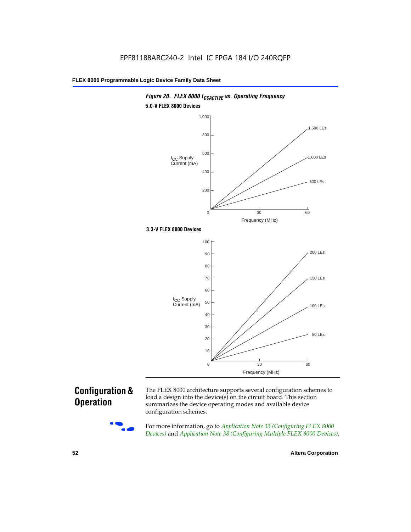

### **Configuration & Operation**



The FLEX 8000 architecture supports several configuration schemes to load a design into the device(s) on the circuit board. This section summarizes the device operating modes and available device configuration schemes.

For more information, go to *Application Note 33 (Configuring FLEX 8000 Devices)* and *Application Note 38 (Configuring Multiple FLEX 8000 Devices)*.

**52 Altera Corporation**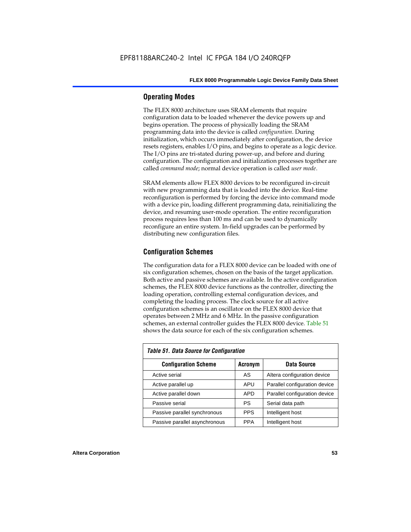#### **Operating Modes**

The FLEX 8000 architecture uses SRAM elements that require configuration data to be loaded whenever the device powers up and begins operation. The process of physically loading the SRAM programming data into the device is called *configuration*. During initialization, which occurs immediately after configuration, the device resets registers, enables I/O pins, and begins to operate as a logic device. The I/O pins are tri-stated during power-up, and before and during configuration. The configuration and initialization processes together are called *command mode*; normal device operation is called *user mode*.

SRAM elements allow FLEX 8000 devices to be reconfigured in-circuit with new programming data that is loaded into the device. Real-time reconfiguration is performed by forcing the device into command mode with a device pin, loading different programming data, reinitializing the device, and resuming user-mode operation. The entire reconfiguration process requires less than 100 ms and can be used to dynamically reconfigure an entire system. In-field upgrades can be performed by distributing new configuration files.

#### **Configuration Schemes**

The configuration data for a FLEX 8000 device can be loaded with one of six configuration schemes, chosen on the basis of the target application. Both active and passive schemes are available. In the active configuration schemes, the FLEX 8000 device functions as the controller, directing the loading operation, controlling external configuration devices, and completing the loading process. The clock source for all active configuration schemes is an oscillator on the FLEX 8000 device that operates between 2 MHz and 6 MHz. In the passive configuration schemes, an external controller guides the FLEX 8000 device. Table 51 shows the data source for each of the six configuration schemes.

| <b>Table 51. Data Source for Configuration</b> |                |                               |  |  |  |  |
|------------------------------------------------|----------------|-------------------------------|--|--|--|--|
| <b>Configuration Scheme</b>                    | <b>Acronym</b> | Data Source                   |  |  |  |  |
| Active serial                                  | AS             | Altera configuration device   |  |  |  |  |
| Active parallel up                             | APU            | Parallel configuration device |  |  |  |  |
| Active parallel down                           | <b>APD</b>     | Parallel configuration device |  |  |  |  |
| Passive serial                                 | PS             | Serial data path              |  |  |  |  |
| Passive parallel synchronous                   | <b>PPS</b>     | Intelligent host              |  |  |  |  |
| Passive parallel asynchronous                  | <b>PPA</b>     | Intelligent host              |  |  |  |  |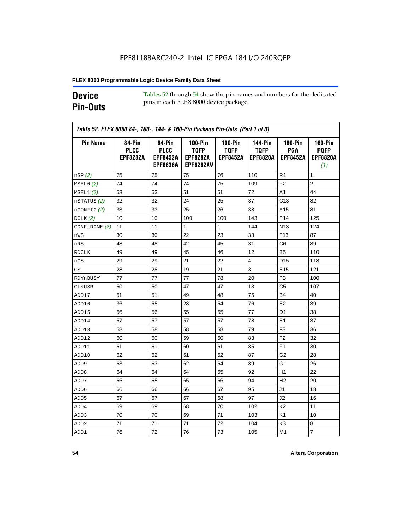### **Device Pin-Outs**

Tables 52 through 54 show the pin names and numbers for the dedicated pins in each FLEX 8000 device package.

| <b>Pin Name</b>  | 84-Pin<br><b>PLCC</b><br><b>EPF8282A</b> | 84-Pin<br><b>PLCC</b><br><b>EPF8452A</b><br><b>EPF8636A</b> | <b>100-Pin</b><br><b>TQFP</b><br><b>EPF8282A</b><br><b>EPF8282AV</b> | $100-Pin$<br><b>TQFP</b><br><b>EPF8452A</b> | <b>144-Pin</b><br><b>TQFP</b><br><b>EPF8820A</b> | <b>160-Pin</b><br>PGA<br><b>EPF8452A</b> | <b>160-Pin</b><br><b>PQFP</b><br><b>EPF8820A</b><br>(1) |
|------------------|------------------------------------------|-------------------------------------------------------------|----------------------------------------------------------------------|---------------------------------------------|--------------------------------------------------|------------------------------------------|---------------------------------------------------------|
| nSP(2)           | 75                                       | 75                                                          | 75                                                                   | 76                                          | 110                                              | R1                                       | 1                                                       |
| MSELO(2)         | 74                                       | 74                                                          | 74                                                                   | 75                                          | 109                                              | P <sub>2</sub>                           | $\overline{c}$                                          |
| MSEL1(2)         | 53                                       | 53                                                          | 51                                                                   | 51                                          | 72                                               | A1                                       | 44                                                      |
| nSTATUS (2)      | 32                                       | 32                                                          | 24                                                                   | 25                                          | 37                                               | C <sub>13</sub>                          | 82                                                      |
| $n$ CONFIG $(2)$ | 33                                       | 33                                                          | 25                                                                   | 26                                          | 38                                               | A15                                      | 81                                                      |
| DCLK(2)          | 10                                       | 10                                                          | 100                                                                  | 100                                         | 143                                              | P <sub>14</sub>                          | 125                                                     |
| $CONF\_DONE(2)$  | 11                                       | 11                                                          | $\mathbf{1}$                                                         | $\mathbf{1}$                                | 144                                              | N <sub>13</sub>                          | 124                                                     |
| nWS              | 30                                       | 30                                                          | 22                                                                   | 23                                          | 33                                               | F <sub>13</sub>                          | 87                                                      |
| nRS              | 48                                       | 48                                                          | 42                                                                   | 45                                          | 31                                               | C6                                       | 89                                                      |
| <b>RDCLK</b>     | 49                                       | 49                                                          | 45                                                                   | 46                                          | 12                                               | B5                                       | 110                                                     |
| nCS              | 29                                       | 29                                                          | 21                                                                   | 22                                          | $\overline{4}$                                   | D <sub>15</sub>                          | 118                                                     |
| CS               | 28                                       | 28                                                          | 19                                                                   | 21                                          | 3                                                | E <sub>15</sub>                          | 121                                                     |
| RDYnBUSY         | 77                                       | 77                                                          | 77                                                                   | 78                                          | 20                                               | P3                                       | 100                                                     |
| <b>CLKUSR</b>    | 50                                       | 50                                                          | 47                                                                   | 47                                          | 13                                               | C <sub>5</sub>                           | 107                                                     |
| ADD17            | 51                                       | 51                                                          | 49                                                                   | 48                                          | 75                                               | <b>B4</b>                                | 40                                                      |
| ADD16            | 36                                       | 55                                                          | 28                                                                   | 54                                          | 76                                               | E <sub>2</sub>                           | 39                                                      |
| ADD15            | 56                                       | 56                                                          | 55                                                                   | 55                                          | 77                                               | D <sub>1</sub>                           | 38                                                      |
| ADD14            | 57                                       | 57                                                          | 57                                                                   | 57                                          | 78                                               | E <sub>1</sub>                           | 37                                                      |
| ADD13            | 58                                       | 58                                                          | 58                                                                   | 58                                          | 79                                               | F <sub>3</sub>                           | 36                                                      |
| ADD12            | 60                                       | 60                                                          | 59                                                                   | 60                                          | 83                                               | F <sub>2</sub>                           | 32                                                      |
| ADD11            | 61                                       | 61                                                          | 60                                                                   | 61                                          | 85                                               | F <sub>1</sub>                           | 30                                                      |
| ADD10            | 62                                       | 62                                                          | 61                                                                   | 62                                          | 87                                               | G2                                       | 28                                                      |
| ADD <sub>9</sub> | 63                                       | 63                                                          | 62                                                                   | 64                                          | 89                                               | G1                                       | 26                                                      |
| ADD <sub>8</sub> | 64                                       | 64                                                          | 64                                                                   | 65                                          | 92                                               | H1                                       | 22                                                      |
| ADD7             | 65                                       | 65                                                          | 65                                                                   | 66                                          | 94                                               | H <sub>2</sub>                           | 20                                                      |
| ADD6             | 66                                       | 66                                                          | 66                                                                   | 67                                          | 95                                               | J <sub>1</sub>                           | 18                                                      |
| ADD <sub>5</sub> | 67                                       | 67                                                          | 67                                                                   | 68                                          | 97                                               | J2                                       | 16                                                      |
| ADD4             | 69                                       | 69                                                          | 68                                                                   | 70                                          | 102                                              | K <sub>2</sub>                           | 11                                                      |
| ADD3             | 70                                       | 70                                                          | 69                                                                   | 71                                          | 103                                              | K <sub>1</sub>                           | 10                                                      |
|                  |                                          |                                                             |                                                                      |                                             |                                                  |                                          |                                                         |
| ADD <sub>2</sub> | 71                                       | 71                                                          | 71                                                                   | 72                                          | 104                                              | K3                                       | 8                                                       |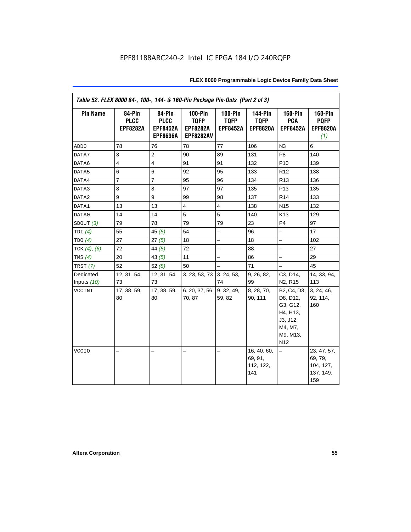| Table 52. FLEX 8000 84-, 100-, 144- & 160-Pin Package Pin-Outs (Part 2 of 3) |                                          |                                                             |                                                                      |                                                  |                                                  |                                                                                                       |                                                         |
|------------------------------------------------------------------------------|------------------------------------------|-------------------------------------------------------------|----------------------------------------------------------------------|--------------------------------------------------|--------------------------------------------------|-------------------------------------------------------------------------------------------------------|---------------------------------------------------------|
| <b>Pin Name</b>                                                              | 84-Pin<br><b>PLCC</b><br><b>EPF8282A</b> | 84-Pin<br><b>PLCC</b><br><b>EPF8452A</b><br><b>EPF8636A</b> | <b>100-Pin</b><br><b>TQFP</b><br><b>EPF8282A</b><br><b>EPF8282AV</b> | <b>100-Pin</b><br><b>TQFP</b><br><b>EPF8452A</b> | <b>144-Pin</b><br><b>TQFP</b><br><b>EPF8820A</b> | <b>160-Pin</b><br>PGA<br><b>EPF8452A</b>                                                              | <b>160-Pin</b><br><b>PQFP</b><br><b>EPF8820A</b><br>(1) |
| ADD <sub>0</sub>                                                             | 78                                       | 76                                                          | 78                                                                   | 77                                               | 106                                              | N <sub>3</sub>                                                                                        | 6                                                       |
| DATA7                                                                        | 3                                        | 2                                                           | 90                                                                   | 89                                               | 131                                              | P <sub>8</sub>                                                                                        | 140                                                     |
| DATA6                                                                        | $\overline{4}$                           | $\overline{4}$                                              | 91                                                                   | 91                                               | 132                                              | P <sub>10</sub>                                                                                       | 139                                                     |
| DATA5                                                                        | 6                                        | 6                                                           | 92                                                                   | 95                                               | 133                                              | R <sub>12</sub>                                                                                       | 138                                                     |
| DATA4                                                                        | $\overline{7}$                           | $\overline{7}$                                              | 95                                                                   | 96                                               | 134                                              | R <sub>13</sub>                                                                                       | 136                                                     |
| DATA3                                                                        | 8                                        | 8                                                           | 97                                                                   | 97                                               | 135                                              | P <sub>13</sub>                                                                                       | 135                                                     |
| DATA2                                                                        | 9                                        | 9                                                           | 99                                                                   | 98                                               | 137                                              | R <sub>14</sub>                                                                                       | 133                                                     |
| DATA1                                                                        | 13                                       | 13                                                          | $\overline{4}$                                                       | $\overline{4}$                                   | 138                                              | N <sub>15</sub>                                                                                       | 132                                                     |
| DATA0                                                                        | 14                                       | 14                                                          | 5                                                                    | 5                                                | 140                                              | K13                                                                                                   | 129                                                     |
| SDOUT(3)                                                                     | 79                                       | 78                                                          | 79                                                                   | 79                                               | 23                                               | P <sub>4</sub>                                                                                        | 97                                                      |
| TDI $(4)$                                                                    | 55                                       | 45(5)                                                       | 54                                                                   | $\overline{\phantom{0}}$                         | 96                                               | $\overline{\phantom{0}}$                                                                              | 17                                                      |
| TDO(4)                                                                       | 27                                       | 27(5)                                                       | 18                                                                   |                                                  | 18                                               |                                                                                                       | 102                                                     |
| TCK $(4)$ , $(6)$                                                            | 72                                       | 44 $(5)$                                                    | 72                                                                   |                                                  | 88                                               |                                                                                                       | 27                                                      |
| TMS $(4)$                                                                    | 20                                       | 43(5)                                                       | 11                                                                   | $\overline{\phantom{0}}$                         | 86                                               | $\overline{\phantom{0}}$                                                                              | 29                                                      |
| TRST $(7)$                                                                   | 52                                       | 52 $(8)$                                                    | 50                                                                   | $\overline{\phantom{0}}$                         | 71                                               | $-$                                                                                                   | 45                                                      |
| Dedicated                                                                    | 12, 31, 54,                              | 12, 31, 54,                                                 | 3, 23, 53, 73                                                        | 3, 24, 53,                                       | 9, 26, 82,                                       | C3, D14,                                                                                              | 14, 33, 94,                                             |
| Inputs (10)                                                                  | 73                                       | 73                                                          |                                                                      | 74                                               | 99                                               | N <sub>2</sub> , R <sub>15</sub>                                                                      | 113                                                     |
| VCCINT                                                                       | 17, 38, 59,<br>80                        | 17, 38, 59,<br>80                                           | 6, 20, 37, 56,<br>70, 87                                             | 9, 32, 49,<br>59, 82                             | 8, 28, 70,<br>90, 111                            | B2, C4, D3,<br>D8, D12,<br>G3, G12,<br>H4, H13,<br>J3, J12,<br>M4, M7,<br>M9, M13,<br>N <sub>12</sub> | 3, 24, 46,<br>92, 114,<br>160                           |
| <b>VCCIO</b>                                                                 |                                          |                                                             |                                                                      | -                                                | 16, 40, 60,<br>69, 91,<br>112, 122,<br>141       | -                                                                                                     | 23, 47, 57,<br>69, 79,<br>104, 127,<br>137, 149,<br>159 |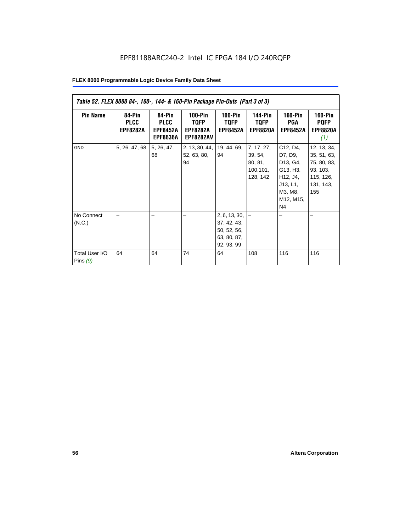|                                                      | Table 52. FLEX 8000 84-, 100-, 144- & 160-Pin Package Pin-Outs (Part 3 of 3) |                                                             |                                                          |                                                                                |                                                           |                                                                                                               |                                                                                        |
|------------------------------------------------------|------------------------------------------------------------------------------|-------------------------------------------------------------|----------------------------------------------------------|--------------------------------------------------------------------------------|-----------------------------------------------------------|---------------------------------------------------------------------------------------------------------------|----------------------------------------------------------------------------------------|
| <b>Pin Name</b>                                      | 84-Pin<br><b>PLCC</b><br><b>EPF8282A</b>                                     | 84-Pin<br><b>PLCC</b><br><b>EPF8452A</b><br><b>EPF8636A</b> | $100-Pin$<br>TQFP<br><b>EPF8282A</b><br><b>EPF8282AV</b> | $100-Pin$<br><b>TQFP</b><br><b>EPF8452A</b>                                    | <b>144-Pin</b><br><b>TQFP</b><br><b>EPF8820A</b>          | <b>160-Pin</b><br>PGA<br><b>EPF8452A</b>                                                                      | <b>160-Pin</b><br><b>PQFP</b><br><b>EPF8820A</b><br>(1)                                |
| <b>GND</b>                                           | 5, 26, 47, 68                                                                | 5, 26, 47,<br>68                                            | 2, 13, 30, 44,<br>52, 63, 80,<br>94                      | 19, 44, 69,<br>94                                                              | 7, 17, 27,<br>39, 54,<br>80, 81,<br>100, 101,<br>128, 142 | C12, D4,<br>D7, D9,<br>D13, G4,<br>G13, H3,<br>H12, J4,<br>J13, L1,<br>M3, M8,<br>M12, M15,<br>N <sub>4</sub> | 12, 13, 34,<br>35, 51, 63,<br>75, 80, 83,<br>93, 103,<br>115, 126,<br>131, 143,<br>155 |
| No Connect<br>(N.C.)<br>Total User I/O<br>Pins $(9)$ | 64                                                                           | 64                                                          | 74                                                       | 2, 6, 13, 30,<br>37, 42, 43,<br>50, 52, 56,<br>63, 80, 87,<br>92, 93, 99<br>64 | 108                                                       | 116                                                                                                           | 116                                                                                    |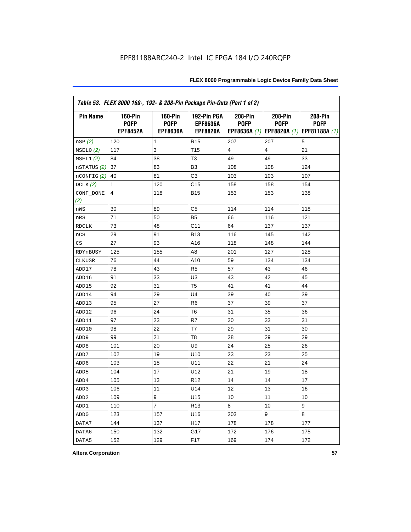|                        | Table 53. FLEX 8000 160-, 192- & 208-Pin Package Pin-Outs (Part 1 of 2) |                                                  |                                                   |                        |                        |                                                                   |
|------------------------|-------------------------------------------------------------------------|--------------------------------------------------|---------------------------------------------------|------------------------|------------------------|-------------------------------------------------------------------|
| <b>Pin Name</b>        | <b>160-Pin</b><br><b>PQFP</b><br><b>EPF8452A</b>                        | <b>160-Pin</b><br><b>PQFP</b><br><b>EPF8636A</b> | 192-Pin PGA<br><b>EPF8636A</b><br><b>EPF8820A</b> | 208-Pin<br><b>PQFP</b> | 208-Pin<br><b>PQFP</b> | 208-Pin<br><b>PQFP</b><br>EPF8636A (1) EPF8820A (1) EPF81188A (1) |
| nSP (2)                | 120                                                                     | 1                                                | R <sub>15</sub>                                   | 207                    | 207                    | 5                                                                 |
| MSELO(2)               | 117                                                                     | 3                                                | T <sub>15</sub>                                   | 4                      | $\overline{4}$         | 21                                                                |
| MSEL1(2)               | 84                                                                      | 38                                               | T <sub>3</sub>                                    | 49                     | 49                     | 33                                                                |
| nSTATUS (2)            | 37                                                                      | 83                                               | B <sub>3</sub>                                    | 108                    | 108                    | 124                                                               |
| nCONFIG <sup>(2)</sup> | 40                                                                      | 81                                               | C3                                                | 103                    | 103                    | 107                                                               |
| DCLK(2)                | 1                                                                       | 120                                              | C <sub>15</sub>                                   | 158                    | 158                    | 154                                                               |
| CONF_DONE<br>(2)       | 4                                                                       | 118                                              | <b>B15</b>                                        | 153                    | 153                    | 138                                                               |
| nWS                    | 30                                                                      | 89                                               | C <sub>5</sub>                                    | 114                    | 114                    | 118                                                               |
| nRS                    | 71                                                                      | 50                                               | B <sub>5</sub>                                    | 66                     | 116                    | 121                                                               |
| <b>RDCLK</b>           | 73                                                                      | 48                                               | C <sub>11</sub>                                   | 64                     | 137                    | 137                                                               |
| nCS                    | 29                                                                      | 91                                               | <b>B13</b>                                        | 116                    | 145                    | 142                                                               |
| CS                     | 27                                                                      | 93                                               | A16                                               | 118                    | 148                    | 144                                                               |
| RDYnBUSY               | 125                                                                     | 155                                              | A <sub>8</sub>                                    | 201                    | 127                    | 128                                                               |
| CLKUSR                 | 76                                                                      | 44                                               | A10                                               | 59                     | 134                    | 134                                                               |
| ADD17                  | 78                                                                      | 43                                               | R <sub>5</sub>                                    | 57                     | 43                     | 46                                                                |
| ADD16                  | 91                                                                      | 33                                               | U <sub>3</sub>                                    | 43                     | 42                     | 45                                                                |
| ADD15                  | 92                                                                      | 31                                               | T <sub>5</sub>                                    | 41                     | 41                     | 44                                                                |
| ADD14                  | 94                                                                      | 29                                               | U <sub>4</sub>                                    | 39                     | 40                     | 39                                                                |
| ADD13                  | 95                                                                      | 27                                               | R <sub>6</sub>                                    | 37                     | 39                     | 37                                                                |
| ADD12                  | 96                                                                      | 24                                               | T6                                                | 31                     | 35                     | 36                                                                |
| ADD11                  | 97                                                                      | 23                                               | R7                                                | 30                     | 33                     | 31                                                                |
| ADD10                  | 98                                                                      | 22                                               | T7                                                | 29                     | 31                     | 30                                                                |
| ADD <sub>9</sub>       | 99                                                                      | 21                                               | T <sub>8</sub>                                    | 28                     | 29                     | 29                                                                |
| ADD <sub>8</sub>       | 101                                                                     | 20                                               | U9                                                | 24                     | 25                     | 26                                                                |
| ADD7                   | 102                                                                     | 19                                               | U10                                               | 23                     | 23                     | 25                                                                |
| ADD6                   | 103                                                                     | 18                                               | U11                                               | 22                     | 21                     | 24                                                                |
| ADD <sub>5</sub>       | 104                                                                     | 17                                               | U12                                               | 21                     | 19                     | 18                                                                |
| ADD4                   | 105                                                                     | 13                                               | R <sub>12</sub>                                   | 14                     | 14                     | 17                                                                |
| ADD <sub>3</sub>       | 106                                                                     | 11                                               | U14                                               | 12                     | 13                     | 16                                                                |
| ADD <sub>2</sub>       | 109                                                                     | 9                                                | U15                                               | 10                     | 11                     | 10                                                                |
| ADD1                   | 110                                                                     | $\overline{7}$                                   | R <sub>13</sub>                                   | 8                      | 10                     | 9                                                                 |
| ADD <sub>0</sub>       | 123                                                                     | 157                                              | U16                                               | 203                    | 9                      | 8                                                                 |
| DATA7                  | 144                                                                     | 137                                              | H <sub>17</sub>                                   | 178                    | 178                    | 177                                                               |
| DATA6                  | 150                                                                     | 132                                              | G17                                               | 172                    | 176                    | 175                                                               |
| DATA5                  | 152                                                                     | 129                                              | F <sub>17</sub>                                   | 169                    | 174                    | 172                                                               |

**Altera Corporation 57**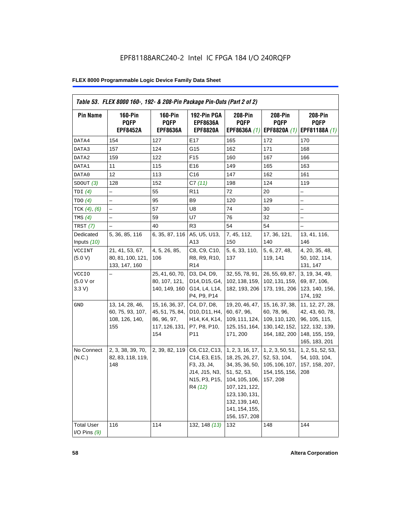| <b>Pin Name</b>                     | <b>160-Pin</b><br><b>PQFP</b>                                | $160-Pin$<br><b>PQFP</b>                                                   | 192-Pin PGA<br><b>EPF8636A</b>                                                                                                    | 208-Pin<br><b>PQFP</b>                                                                                                                                                           | 208-Pin<br><b>PQFP</b>                                                              | 208-Pin<br><b>PQFP</b>                                                                                   |
|-------------------------------------|--------------------------------------------------------------|----------------------------------------------------------------------------|-----------------------------------------------------------------------------------------------------------------------------------|----------------------------------------------------------------------------------------------------------------------------------------------------------------------------------|-------------------------------------------------------------------------------------|----------------------------------------------------------------------------------------------------------|
|                                     | <b>EPF8452A</b>                                              | <b>EPF8636A</b>                                                            | <b>EPF8820A</b>                                                                                                                   | EPF8636A (1)                                                                                                                                                                     | EPF8820A (1)                                                                        | EPF81188A (1)                                                                                            |
| DATA4                               | 154                                                          | 127                                                                        | E17                                                                                                                               | 165                                                                                                                                                                              | 172                                                                                 | 170                                                                                                      |
| DATA3                               | 157                                                          | 124                                                                        | G15                                                                                                                               | 162                                                                                                                                                                              | 171                                                                                 | 168                                                                                                      |
| DATA2                               | 159                                                          | 122                                                                        | F <sub>15</sub>                                                                                                                   | 160                                                                                                                                                                              | 167                                                                                 | 166                                                                                                      |
| DATA1                               | 11                                                           | 115                                                                        | E16                                                                                                                               | 149                                                                                                                                                                              | 165                                                                                 | 163                                                                                                      |
| DATA0                               | 12                                                           | 113                                                                        | C <sub>16</sub>                                                                                                                   | 147                                                                                                                                                                              | 162                                                                                 | 161                                                                                                      |
| SDOUT(3)                            | 128                                                          | 152                                                                        | C7(11)                                                                                                                            | 198                                                                                                                                                                              | 124                                                                                 | 119                                                                                                      |
| TDI(4)                              | $\overline{\phantom{0}}$                                     | 55                                                                         | R <sub>11</sub>                                                                                                                   | 72                                                                                                                                                                               | 20                                                                                  |                                                                                                          |
| TDO(4)                              |                                                              | 95                                                                         | B <sub>9</sub>                                                                                                                    | 120                                                                                                                                                                              | 129                                                                                 |                                                                                                          |
| TCK $(4)$ , $(6)$                   |                                                              | 57                                                                         | U8                                                                                                                                | 74                                                                                                                                                                               | 30                                                                                  |                                                                                                          |
| TMS $(4)$                           |                                                              | 59                                                                         | U7                                                                                                                                | 76                                                                                                                                                                               | 32                                                                                  | $\overline{\phantom{0}}$                                                                                 |
| TRST $(7)$                          |                                                              | 40                                                                         | R <sub>3</sub>                                                                                                                    | 54                                                                                                                                                                               | 54                                                                                  |                                                                                                          |
| Dedicated<br>Inputs $(10)$          | 5, 36, 85, 116                                               | 6, 35, 87, 116                                                             | A5, U5, U13,<br>A13                                                                                                               | 7, 45, 112,<br>150                                                                                                                                                               | 17, 36, 121,<br>140                                                                 | 13, 41, 116,<br>146                                                                                      |
| <b>VCCINT</b><br>(5.0 V)            | 21, 41, 53, 67,<br>80, 81, 100, 121,<br>133, 147, 160        | 4, 5, 26, 85,<br>106                                                       | C8, C9, C10,<br>R8, R9, R10,<br>R <sub>14</sub>                                                                                   | 5, 6, 33, 110,<br>137                                                                                                                                                            | 5, 6, 27, 48,<br>119, 141                                                           | 4, 20, 35, 48,<br>50, 102, 114,<br>131, 147                                                              |
| <b>VCCIO</b><br>(5.0 V or<br>3.3 V  |                                                              | 25, 41, 60, 70,<br>80, 107, 121,<br>140, 149, 160                          | D3, D4, D9,<br>D14, D15, G4,<br>G14, L4, L14,<br>P4, P9, P14                                                                      | 32, 55, 78, 91,<br>102, 138, 159,<br>182, 193, 206                                                                                                                               | 26, 55, 69, 87,<br>102, 131, 159,<br>173, 191, 206                                  | 3, 19, 34, 49,<br>69, 87, 106,<br>123, 140, 156,<br>174, 192                                             |
| GND                                 | 13, 14, 28, 46,<br>60, 75, 93, 107,<br>108, 126, 140,<br>155 | 15, 16, 36, 37,<br>45, 51, 75, 84,<br>86, 96, 97,<br>117, 126, 131,<br>154 | C4, D7, D8,<br>D10, D11, H4,<br>H <sub>14</sub> , K <sub>4</sub> , K <sub>14</sub> ,<br>P7, P8, P10,<br>P <sub>11</sub>           | 19, 20, 46, 47,<br>60, 67, 96,<br>109, 111, 124,<br>125, 151, 164,<br>171, 200                                                                                                   | 15, 16, 37, 38,<br>60, 78, 96,<br>109, 110, 120,<br>130, 142, 152,<br>164, 182, 200 | 11, 12, 27, 28,<br>42, 43, 60, 78,<br>96, 105, 115,<br>122, 132, 139,<br>148, 155, 159,<br>165, 183, 201 |
| No Connect<br>(N.C.)                | 2, 3, 38, 39, 70,<br>82, 83, 118, 119,<br>148                | 2, 39, 82, 119                                                             | C6, C12, C13,<br>C14, E3, E15,<br>F3, J3, J4,<br>J14, J15, N3,<br>N <sub>15</sub> , P <sub>3</sub> , P <sub>15</sub> ,<br>R4 (12) | 1, 2, 3, 16, 17,<br>18, 25, 26, 27,<br>34, 35, 36, 50,<br>51, 52, 53,<br>104, 105, 106,<br>107, 121, 122,<br>123, 130, 131,<br>132, 139, 140,<br>141, 154, 155,<br>156, 157, 208 | 1, 2, 3, 50, 51,<br>52, 53, 104,<br>105, 106, 107,<br>154, 155, 156,<br>157, 208    | 1, 2, 51, 52, 53,<br>54, 103, 104,<br>157, 158, 207,<br>208                                              |
| <b>Total User</b><br>I/O Pins $(9)$ | 116                                                          | 114                                                                        | 132, 148 (13)                                                                                                                     | 132                                                                                                                                                                              | 148                                                                                 | 144                                                                                                      |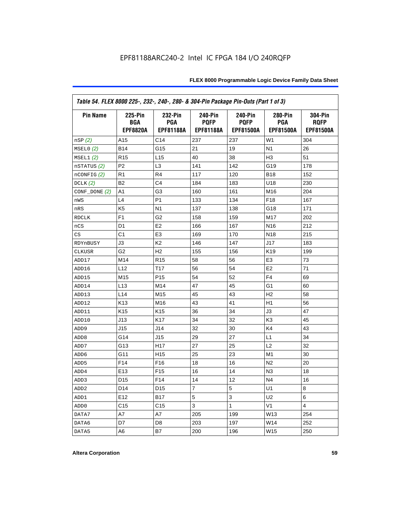| Table 54. FLEX 8000 225-, 232-, 240-, 280- & 304-Pin Package Pin-Outs (Part 1 of 3) |                                                 |                                    |                                                   |                                                   |                                    |                                                   |
|-------------------------------------------------------------------------------------|-------------------------------------------------|------------------------------------|---------------------------------------------------|---------------------------------------------------|------------------------------------|---------------------------------------------------|
| <b>Pin Name</b>                                                                     | <b>225-Pin</b><br><b>BGA</b><br><b>EPF8820A</b> | 232-Pin<br><b>PGA</b><br>EPF81188A | <b>240-Pin</b><br><b>PQFP</b><br><b>EPF81188A</b> | <b>240-Pin</b><br><b>PQFP</b><br><b>EPF81500A</b> | 280-Pin<br><b>PGA</b><br>EPF81500A | <b>304-Pin</b><br><b>ROFP</b><br><b>EPF81500A</b> |
| nSP(2)                                                                              | A15                                             | C <sub>14</sub>                    | 237                                               | 237                                               | W <sub>1</sub>                     | 304                                               |
| MSELO(2)                                                                            | <b>B14</b>                                      | G15                                | 21                                                | 19                                                | N <sub>1</sub>                     | 26                                                |
| MSEL1(2)                                                                            | R <sub>15</sub>                                 | L <sub>15</sub>                    | 40                                                | 38                                                | H <sub>3</sub>                     | 51                                                |
| nSTATUS (2)                                                                         | P <sub>2</sub>                                  | L <sub>3</sub>                     | 141                                               | 142                                               | G19                                | 178                                               |
| $n$ CONFIG $(2)$                                                                    | R <sub>1</sub>                                  | R <sub>4</sub>                     | 117                                               | 120                                               | <b>B18</b>                         | 152                                               |
| DCLK $(2)$                                                                          | B <sub>2</sub>                                  | C <sub>4</sub>                     | 184                                               | 183                                               | U18                                | 230                                               |
| $CONF\_DONE(2)$                                                                     | A1                                              | G3                                 | 160                                               | 161                                               | M16                                | 204                                               |
| nWS                                                                                 | L4                                              | P <sub>1</sub>                     | 133                                               | 134                                               | F <sub>18</sub>                    | 167                                               |
| nRS                                                                                 | K <sub>5</sub>                                  | N <sub>1</sub>                     | 137                                               | 138                                               | G18                                | 171                                               |
| <b>RDCLK</b>                                                                        | F <sub>1</sub>                                  | G <sub>2</sub>                     | 158                                               | 159                                               | M17                                | 202                                               |
| nCS                                                                                 | D <sub>1</sub>                                  | E <sub>2</sub>                     | 166                                               | 167                                               | N <sub>16</sub>                    | 212                                               |
| CS                                                                                  | C <sub>1</sub>                                  | E <sub>3</sub>                     | 169                                               | 170                                               | N <sub>18</sub>                    | 215                                               |
| RDYnBUSY                                                                            | J3                                              | K <sub>2</sub>                     | 146                                               | 147                                               | J17                                | 183                                               |
| <b>CLKUSR</b>                                                                       | G <sub>2</sub>                                  | H <sub>2</sub>                     | 155                                               | 156                                               | K <sub>19</sub>                    | 199                                               |
| ADD17                                                                               | M14                                             | R <sub>15</sub>                    | 58                                                | 56                                                | E <sub>3</sub>                     | 73                                                |
| ADD16                                                                               | L12                                             | T <sub>17</sub>                    | 56                                                | 54                                                | E <sub>2</sub>                     | 71                                                |
| ADD15                                                                               | M15                                             | P <sub>15</sub>                    | 54                                                | 52                                                | F4                                 | 69                                                |
| ADD14                                                                               | L13                                             | M14                                | 47                                                | 45                                                | G1                                 | 60                                                |
| ADD13                                                                               | L <sub>14</sub>                                 | M15                                | 45                                                | 43                                                | H <sub>2</sub>                     | 58                                                |
| ADD12                                                                               | K <sub>13</sub>                                 | M16                                | 43                                                | 41                                                | H1                                 | 56                                                |
| ADD11                                                                               | K <sub>15</sub>                                 | K <sub>15</sub>                    | 36                                                | 34                                                | JЗ                                 | 47                                                |
| ADD10                                                                               | J13                                             | K <sub>17</sub>                    | 34                                                | 32                                                | K <sub>3</sub>                     | 45                                                |
| ADD <sub>9</sub>                                                                    | J15                                             | J14                                | 32                                                | 30                                                | K4                                 | 43                                                |
| ADD <sub>8</sub>                                                                    | G14                                             | J15                                | 29                                                | 27                                                | L1                                 | 34                                                |
| ADD7                                                                                | G13                                             | H <sub>17</sub>                    | 27                                                | 25                                                | L2                                 | 32                                                |
| ADD <sub>6</sub>                                                                    | G11                                             | H <sub>15</sub>                    | 25                                                | 23                                                | M1                                 | 30                                                |
| ADD <sub>5</sub>                                                                    | F <sub>14</sub>                                 | F <sub>16</sub>                    | 18                                                | 16                                                | N <sub>2</sub>                     | 20                                                |
| ADD4                                                                                | E <sub>13</sub>                                 | F <sub>15</sub>                    | 16                                                | 14                                                | N <sub>3</sub>                     | 18                                                |
| ADD3                                                                                | D <sub>15</sub>                                 | F <sub>14</sub>                    | 14                                                | 12                                                | N <sub>4</sub>                     | 16                                                |
| ADD <sub>2</sub>                                                                    | D <sub>14</sub>                                 | D <sub>15</sub>                    | 7                                                 | 5                                                 | U <sub>1</sub>                     | 8                                                 |
| ADD1                                                                                | E12                                             | <b>B17</b>                         | 5                                                 | 3                                                 | U2                                 | 6                                                 |
| ADD <sub>0</sub>                                                                    | C <sub>15</sub>                                 | C <sub>15</sub>                    | 3                                                 | 1                                                 | V <sub>1</sub>                     | 4                                                 |
| DATA7                                                                               | A7                                              | A7                                 | 205                                               | 199                                               | W13                                | 254                                               |
| DATA6                                                                               | D7                                              | D8                                 | 203                                               | 197                                               | W14                                | 252                                               |
| DATA5                                                                               | A6                                              | B7                                 | 200                                               | 196                                               | W15                                | 250                                               |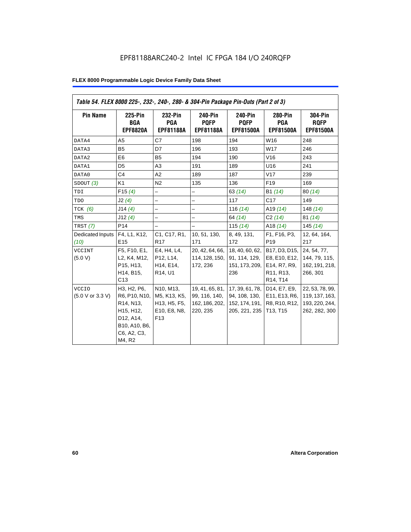| Table 54. FLEX 8000 225-, 232-, 240-, 280- & 304-Pin Package Pin-Outs (Part 2 of 3) |                                                                                                                                         |                                                                                                                     |                                                                |                                                                     |                                                                                                                            |                                                                      |
|-------------------------------------------------------------------------------------|-----------------------------------------------------------------------------------------------------------------------------------------|---------------------------------------------------------------------------------------------------------------------|----------------------------------------------------------------|---------------------------------------------------------------------|----------------------------------------------------------------------------------------------------------------------------|----------------------------------------------------------------------|
| <b>Pin Name</b>                                                                     | 225-Pin<br><b>BGA</b><br><b>EPF8820A</b>                                                                                                | 232-Pin<br><b>PGA</b><br><b>EPF81188A</b>                                                                           | 240-Pin<br><b>POFP</b><br><b>EPF81188A</b>                     | 240-Pin<br><b>POFP</b><br><b>EPF81500A</b>                          | <b>280-Pin</b><br><b>PGA</b><br><b>EPF81500A</b>                                                                           | <b>304-Pin</b><br><b>RQFP</b><br><b>EPF81500A</b>                    |
| DATA4                                                                               | A <sub>5</sub>                                                                                                                          | C7                                                                                                                  | 198                                                            | 194                                                                 | W16                                                                                                                        | 248                                                                  |
| DATA3                                                                               | <b>B5</b>                                                                                                                               | D7                                                                                                                  | 196                                                            | 193                                                                 | W17                                                                                                                        | 246                                                                  |
| DATA2                                                                               | E <sub>6</sub>                                                                                                                          | B <sub>5</sub>                                                                                                      | 194                                                            | 190                                                                 | V16                                                                                                                        | 243                                                                  |
| DATA1                                                                               | D <sub>5</sub>                                                                                                                          | A3                                                                                                                  | 191                                                            | 189                                                                 | U16                                                                                                                        | 241                                                                  |
| DATA0                                                                               | C <sub>4</sub>                                                                                                                          | A2                                                                                                                  | 189                                                            | 187                                                                 | V17                                                                                                                        | 239                                                                  |
| SDOUT(3)                                                                            | K <sub>1</sub>                                                                                                                          | N <sub>2</sub>                                                                                                      | 135                                                            | 136                                                                 | F <sub>19</sub>                                                                                                            | 169                                                                  |
| TDI                                                                                 | F15(4)                                                                                                                                  | -                                                                                                                   | -                                                              | 63(14)                                                              | B1 (14)                                                                                                                    | 80(14)                                                               |
| TDO                                                                                 | J2(4)                                                                                                                                   |                                                                                                                     |                                                                | 117                                                                 | C17                                                                                                                        | 149                                                                  |
| $TCK$ (6)                                                                           | J14(4)                                                                                                                                  | $\overline{a}$                                                                                                      | $\overline{\phantom{0}}$                                       | 116 $(14)$                                                          | A <sub>19</sub> $(14)$                                                                                                     | 148 $(14)$                                                           |
| TMS                                                                                 | J12(4)                                                                                                                                  | $\overline{\phantom{0}}$                                                                                            | $\overline{\phantom{0}}$                                       | 64 (14)                                                             | C2(14)                                                                                                                     | 81(14)                                                               |
| TRST (7)                                                                            | P <sub>14</sub>                                                                                                                         |                                                                                                                     | $\overline{\phantom{0}}$                                       | 115 $(14)$                                                          | A18 $(14)$                                                                                                                 | 145(14)                                                              |
| Dedicated Inputs<br>(10)                                                            | F4, L1, K12,<br>E <sub>15</sub>                                                                                                         | C <sub>1</sub> , C <sub>17</sub> , R <sub>1</sub> ,<br>R <sub>17</sub>                                              | 10, 51, 130,<br>171                                            | 8, 49, 131,<br>172                                                  | F1, F16, P3,<br>P <sub>19</sub>                                                                                            | 12, 64, 164,<br>217                                                  |
| <b>VCCINT</b><br>(5.0 V)                                                            | F5, F10, E1,<br>L2, K4, M12,<br>P15, H13,<br>H14, B15,<br>C13                                                                           | E4, H4, L4,<br>P12, L14,<br>H14, E14,<br>R14, U1                                                                    | 20, 42, 64, 66,<br>114, 128, 150,<br>172, 236                  | 18, 40, 60, 62,<br>91, 114, 129,<br>151, 173, 209,<br>236           | B17, D3, D15,<br>E8, E10, E12,<br>E14, R7, R9,<br>R <sub>11</sub> , R <sub>13</sub> ,<br>R <sub>14</sub> , T <sub>14</sub> | 24, 54, 77,<br>144, 79, 115,<br>162, 191, 218,<br>266, 301           |
| <b>VCCIO</b><br>(5.0 V or 3.3 V)                                                    | H3, H2, P6,<br>R6, P10, N10,<br>R <sub>14</sub> , N <sub>13</sub> ,<br>H15, H12,<br>D12, A14,<br>B10, A10, B6,<br>C6, A2, C3,<br>M4, R2 | N10, M13,<br>M5, K13, K5,<br>H <sub>13</sub> , H <sub>5</sub> , F <sub>5</sub> ,<br>E10, E8, N8,<br>F <sub>13</sub> | 19, 41, 65, 81,<br>99, 116, 140,<br>162, 186, 202,<br>220, 235 | 17, 39, 61, 78,<br>94, 108, 130,<br>152, 174, 191,<br>205, 221, 235 | D14, E7, E9,<br>E11, E13, R6,<br>R8, R10, R12,<br>T13, T15                                                                 | 22, 53, 78, 99,<br>119, 137, 163,<br>193, 220, 244,<br>262, 282, 300 |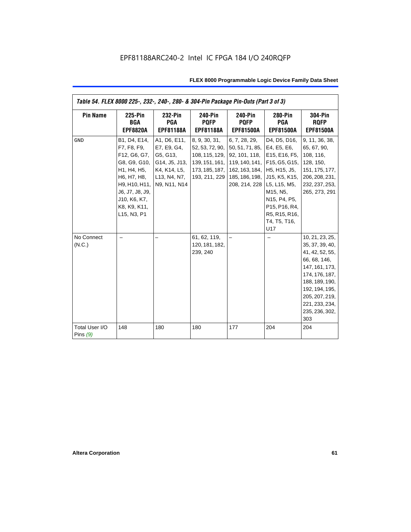| Table 54. FLEX 8000 225-, 232-, 240-, 280- & 304-Pin Package Pin-Outs (Part 3 of 3) |                                                                                                                                                                              |                                                                                                          |                                                                                                         |                                                                                                                                                              |                                                                                                                                                                              |                                                                                                                                                                                                            |
|-------------------------------------------------------------------------------------|------------------------------------------------------------------------------------------------------------------------------------------------------------------------------|----------------------------------------------------------------------------------------------------------|---------------------------------------------------------------------------------------------------------|--------------------------------------------------------------------------------------------------------------------------------------------------------------|------------------------------------------------------------------------------------------------------------------------------------------------------------------------------|------------------------------------------------------------------------------------------------------------------------------------------------------------------------------------------------------------|
| <b>Pin Name</b>                                                                     | <b>225-Pin</b><br><b>BGA</b><br><b>EPF8820A</b>                                                                                                                              | 232-Pin<br><b>PGA</b><br><b>EPF81188A</b>                                                                | 240-Pin<br><b>PQFP</b><br><b>EPF81188A</b>                                                              | 240-Pin<br><b>PQFP</b><br><b>EPF81500A</b>                                                                                                                   | 280-Pin<br><b>PGA</b><br><b>EPF81500A</b>                                                                                                                                    | <b>304-Pin</b><br><b>ROFP</b><br><b>EPF81500A</b>                                                                                                                                                          |
| <b>GND</b>                                                                          | B1, D4, E14,<br>F7, F8, F9,<br>F12, G6, G7,<br>G8, G9, G10,<br>H1, H4, H5,<br>H6, H7, H8,<br>H9, H10, H11,<br>J6, J7, J8, J9,<br>J10, K6, K7,<br>K8, K9, K11,<br>L15, N3, P1 | A1, D6, E11,<br>E7, E9, G4,<br>G5, G13,<br>G14, J5, J13,<br>K4, K14, L5,<br>L13, N4, N7,<br>N9, N11, N14 | 8, 9, 30, 31,<br>52, 53, 72, 90,<br>108, 115, 129,<br>139, 151, 161,<br>173, 185, 187,<br>193, 211, 229 | 6, 7, 28, 29,<br>50, 51, 71, 85, E4, E5, E6,<br>92, 101, 118,<br>162, 163, 184, H5, H15, J5,<br>185, 186, 198, U15, K5, K15,<br>208, 214, 228   L5, L15, M5, | D4, D5, D16,<br>E15, E16, F5,<br>119, 140, 141, F15, G5, G15,<br>M <sub>15</sub> , N <sub>5</sub> ,<br>N15, P4, P5,<br>P15, P16, R4,<br>R5, R15, R16,<br>T4, T5, T16,<br>U17 | 9, 11, 36, 38,<br>65, 67, 90,<br>108, 116,<br>128, 150,<br>151, 175, 177,<br>206, 208, 231,<br>232, 237, 253,<br>265, 273, 291                                                                             |
| No Connect<br>(N.C.)                                                                |                                                                                                                                                                              |                                                                                                          | 61, 62, 119,<br>120, 181, 182,<br>239, 240                                                              |                                                                                                                                                              |                                                                                                                                                                              | 10, 21, 23, 25,<br>35, 37, 39, 40,<br>41, 42, 52, 55,<br>66, 68, 146,<br>147, 161, 173,<br>174, 176, 187,<br>188, 189, 190,<br>192, 194, 195,<br>205, 207, 219,<br>221, 233, 234,<br>235, 236, 302,<br>303 |
| Total User I/O<br>Pins $(9)$                                                        | 148                                                                                                                                                                          | 180                                                                                                      | 180                                                                                                     | 177                                                                                                                                                          | 204                                                                                                                                                                          | 204                                                                                                                                                                                                        |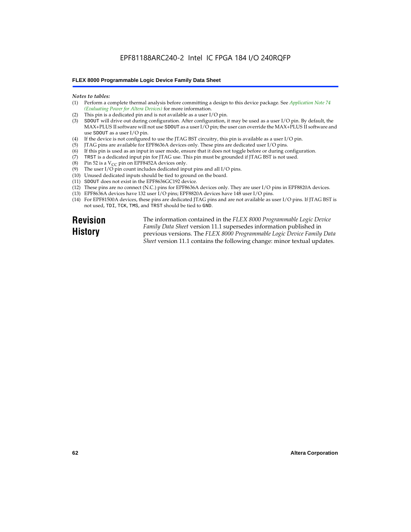#### *Notes to tables:*

- (1) Perform a complete thermal analysis before committing a design to this device package. See *Application Note 74 (Evaluating Power for Altera Devices)* for more information.
- (2) This pin is a dedicated pin and is not available as a user I/O pin.
- (3) SDOUT will drive out during configuration. After configuration, it may be used as a user I/O pin. By default, the MAX+PLUS II software will not use SDOUT as a user I/O pin; the user can override the MAX+PLUS II software and use SDOUT as a user I/O pin.
- (4) If the device is not configured to use the JTAG BST circuitry, this pin is available as a user I/O pin.
- (5) JTAG pins are available for EPF8636A devices only. These pins are dedicated user I/O pins.
- $(6)$  If this pin is used as an input in user mode, ensure that it does not toggle before or during configuration.
- (7) TRST is a dedicated input pin for JTAG use. This pin must be grounded if JTAG BST is not used.
- (8) Pin 52 is a  $V_{CC}$  pin on EPF8452A devices only.
- (9) The user I/O pin count includes dedicated input pins and all I/O pins.
- (10) Unused dedicated inputs should be tied to ground on the board.
- (11) SDOUT does not exist in the EPF8636GC192 device.
- (12) These pins are no connect (N.C.) pins for EPF8636A devices only. They are user I/O pins in EPF8820A devices.
- (13) EPF8636A devices have 132 user I/O pins; EPF8820A devices have 148 user I/O pins.
- (14) For EPF81500A devices, these pins are dedicated JTAG pins and are not available as user I/O pins. If JTAG BST is not used, TDI, TCK, TMS, and TRST should be tied to GND.

**Revision History**

The information contained in the *FLEX 8000 Programmable Logic Device Family Data Sheet* version 11.1 supersedes information published in previous versions. The *FLEX 8000 Programmable Logic Device Family Data Sheet* version 11.1 contains the following change: minor textual updates.